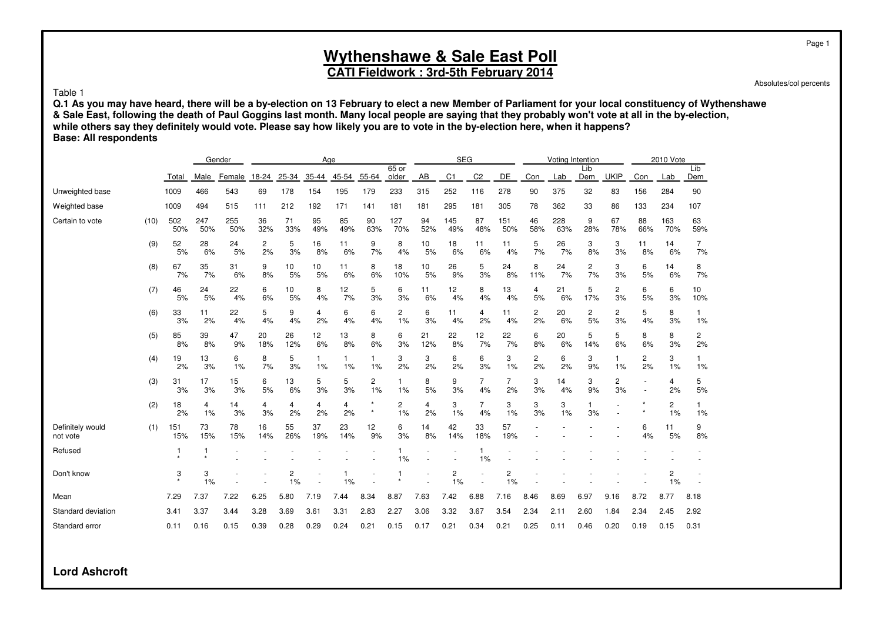### **CATI Fieldwork : 3rd-5th February 2014**

#### Table 1

**Q.1 As you may have heard, there will be a by-election on 13 February to elect a new Member of Parliament for your local constituency of Wythenshawe & Sale East, following the death of Paul Goggins last month. Many local people are saying that they probably won't vote at all in the by-election, while others say they definitely would vote. Please say how likely you are to vote in the by-election here, when it happens? Base: All respondents**

|                              |      |            |            | Gender     |                      |           | Age       |           |                      |                  |           | <b>SEG</b>     |                |                               |                               | Voting Intention |            |                      |           | 2010 Vote                     |            |
|------------------------------|------|------------|------------|------------|----------------------|-----------|-----------|-----------|----------------------|------------------|-----------|----------------|----------------|-------------------------------|-------------------------------|------------------|------------|----------------------|-----------|-------------------------------|------------|
|                              |      | Total      | Male       | Female     | 18-24                | 25-34     | 35-44     | 45-54     | 55-64                | $65$ or<br>older | AB        | C <sub>1</sub> | C <sub>2</sub> | <b>DE</b>                     | Con                           | Lab              | Lib<br>Dem | <b>UKIP</b>          | Con       | Lab                           | Lib<br>Dem |
| Unweighted base              |      | 1009       | 466        | 543        | 69                   | 178       | 154       | 195       | 179                  | 233              | 315       | 252            | 116            | 278                           | 90                            | 375              | 32         | 83                   | 156       | 284                           | 90         |
| Weighted base                |      | 1009       | 494        | 515        | 111                  | 212       | 192       | 171       | 141                  | 181              | 181       | 295            | 181            | 305                           | 78                            | 362              | 33         | 86                   | 133       | 234                           | 107        |
| Certain to vote              | (10) | 502<br>50% | 247<br>50% | 255<br>50% | 36<br>32%            | 71<br>33% | 95<br>49% | 85<br>49% | 90<br>63%            | 127<br>70%       | 94<br>52% | 145<br>49%     | 87<br>48%      | 151<br>50%                    | 46<br>58%                     | 228<br>63%       | 9<br>28%   | 67<br>78%            | 88<br>66% | 163<br>70%                    | 63<br>59%  |
|                              | (9)  | 52<br>5%   | 28<br>6%   | 24<br>5%   | $\overline{c}$<br>2% | 5<br>3%   | 16<br>8%  | 11<br>6%  | 9<br>7%              | 8<br>4%          | 10<br>5%  | 18<br>6%       | 11<br>6%       | 11<br>4%                      | 5<br>7%                       | 26<br>7%         | 3<br>8%    | 3<br>3%              | 11<br>8%  | 14<br>6%                      | 7<br>7%    |
|                              | (8)  | 67<br>7%   | 35<br>7%   | 31<br>6%   | 9<br>8%              | 10<br>5%  | 10<br>5%  | 11<br>6%  | 8<br>6%              | 18<br>10%        | 10<br>5%  | 26<br>9%       | 5<br>3%        | 24<br>8%                      | 8<br>11%                      | 24<br>7%         | 2<br>7%    | 3<br>3%              | 6<br>5%   | 14<br>6%                      | 8<br>7%    |
|                              | (7)  | 46<br>5%   | 24<br>5%   | 22<br>4%   | 6<br>6%              | 10<br>5%  | 8<br>4%   | 12<br>7%  | 5<br>3%              | 6<br>3%          | 11<br>6%  | 12<br>4%       | 8<br>4%        | 13<br>4%                      | $\overline{4}$<br>5%          | 21<br>6%         | 5<br>17%   | $\overline{c}$<br>3% | 6<br>5%   | 6<br>3%                       | 10<br>10%  |
|                              | (6)  | 33<br>3%   | 11<br>2%   | 22<br>4%   | 5<br>4%              | 9<br>4%   | 4<br>2%   | 6<br>4%   | 6<br>4%              | 2<br>1%          | 6<br>3%   | 11<br>4%       | 4<br>2%        | 11<br>4%                      | $\overline{\mathbf{c}}$<br>2% | 20<br>6%         | 2<br>5%    | $\overline{c}$<br>3% | 5<br>4%   | 8<br>3%                       | 1<br>1%    |
|                              | (5)  | 85<br>8%   | 39<br>8%   | 47<br>9%   | 20<br>18%            | 26<br>12% | 12<br>6%  | 13<br>8%  | 8<br>6%              | 6<br>3%          | 21<br>12% | 22<br>8%       | 12<br>7%       | $\frac{22}{7\%}$              | 6<br>8%                       | 20<br>6%         | 5<br>14%   | 5<br>6%              | 8<br>6%   | 8<br>3%                       | 2<br>2%    |
|                              | (4)  | 19<br>2%   | 13<br>3%   | 6<br>1%    | 8<br>7%              | 5<br>3%   | 1<br>1%   | 1<br>1%   | 1<br>1%              | 3<br>2%          | 3<br>2%   | 6<br>2%        | 6<br>3%        | 3<br>1%                       | 2<br>2%                       | 6<br>2%          | 3<br>9%    | 1<br>1%              | 2<br>2%   | 3<br>1%                       | 1%         |
|                              | (3)  | 31<br>3%   | 17<br>3%   | 15<br>3%   | 6<br>5%              | 13<br>6%  | 5<br>3%   | 5<br>3%   | $\overline{c}$<br>1% | 1%               | 8<br>5%   | 9<br>3%        | 7<br>4%        | $\overline{7}$<br>2%          | 3<br>3%                       | 14<br>4%         | 3<br>9%    | $\overline{c}$<br>3% |           | 4<br>2%                       | 5<br>5%    |
|                              | (2)  | 18<br>2%   | 4<br>1%    | 14<br>3%   | 4<br>3%              | 4<br>2%   | 4<br>2%   | 4<br>2%   | $\star$              | 2<br>1%          | 4<br>2%   | 3<br>1%        | 7<br>4%        | 3<br>1%                       | 3<br>3%                       | 3<br>1%          | 3%         |                      |           | 2<br>1%                       | 1<br>1%    |
| Definitely would<br>not vote | (1)  | 151<br>15% | 73<br>15%  | 78<br>15%  | 16<br>14%            | 55<br>26% | 37<br>19% | 23<br>14% | 12<br>9%             | 6<br>3%          | 14<br>8%  | 42<br>14%      | 33<br>18%      | 57<br>19%                     |                               |                  |            |                      | 6<br>4%   | 11<br>5%                      | 9<br>8%    |
| Refused                      |      |            |            |            |                      |           |           |           |                      | 1%               |           |                | 1%             |                               |                               |                  |            |                      |           |                               |            |
| Don't know                   |      | 3          | 3<br>1%    |            |                      | 2<br>1%   |           | 1%        |                      |                  |           | 2<br>1%        |                | $\overline{\mathbf{c}}$<br>1% |                               |                  |            |                      |           | $\overline{\mathbf{c}}$<br>1% |            |
| Mean                         |      | 7.29       | 7.37       | 7.22       | 6.25                 | 5.80      | 7.19      | 7.44      | 8.34                 | 8.87             | 7.63      | 7.42           | 6.88           | 7.16                          | 8.46                          | 8.69             | 6.97       | 9.16                 | 8.72      | 8.77                          | 8.18       |
| Standard deviation           |      | 3.41       | 3.37       | 3.44       | 3.28                 | 3.69      | 3.61      | 3.31      | 2.83                 | 2.27             | 3.06      | 3.32           | 3.67           | 3.54                          | 2.34                          | 2.11             | 2.60       | 1.84                 | 2.34      | 2.45                          | 2.92       |
| Standard error               |      | 0.11       | 0.16       | 0.15       | 0.39                 | 0.28      | 0.29      | 0.24      | 0.21                 | 0.15             | 0.17      | 0.21           | 0.34           | 0.21                          | 0.25                          | 0.11             | 0.46       | 0.20                 | 0.19      | 0.15                          | 0.31       |

**Lord Ashcroft**

Page 1

Absolutes/col percents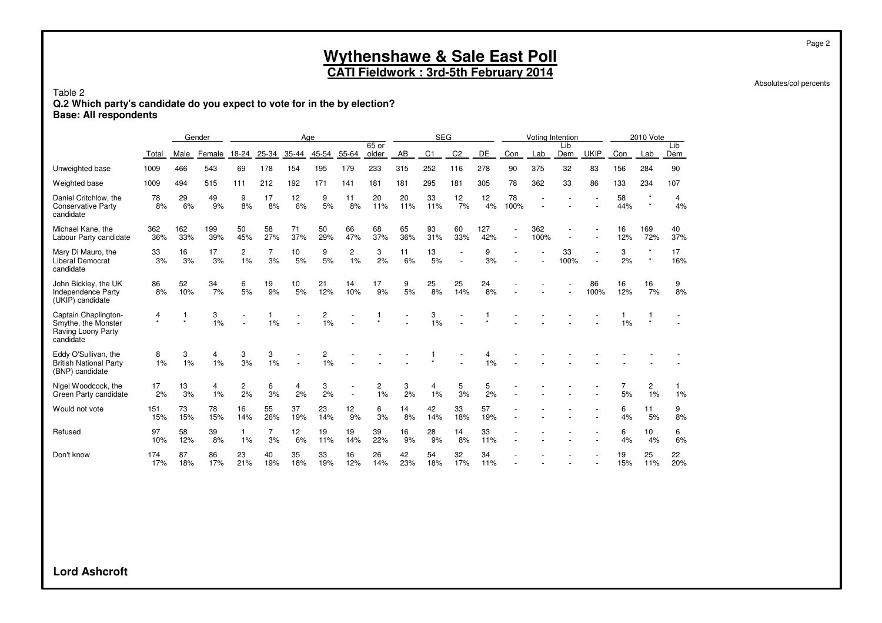#### **Wythenshawe & Sale East Poll CATI Fieldwork : 3rd-5th February 2014**

Absolutes/col percents

#### Table 2 **Q.2 Which party's candidate do you expect to vote for in the by election? Base: All respondents**

|                                                                                |              |            | Gender     |                    |                      | Age       |           |           |                |           | <b>SEG</b>     |                |            |            | Voting Intention |            |             |           | 2010 Vote  |            |
|--------------------------------------------------------------------------------|--------------|------------|------------|--------------------|----------------------|-----------|-----------|-----------|----------------|-----------|----------------|----------------|------------|------------|------------------|------------|-------------|-----------|------------|------------|
|                                                                                | Total        | Male       | Female     | 18-24              | 25-34                | 35-44     | 45-54     | 55-64     | 65 or<br>older | AB        | C <sub>1</sub> | C <sub>2</sub> | <b>DE</b>  | Con        | Lab              | Lib<br>Dem | <b>UKIP</b> | Con       | Lab        | Lib<br>Dem |
| Unweighted base                                                                | 1009         | 466        | 543        | 69                 | 178                  | 154       | 195       | 179       | 233            | 315       | 252            | 116            | 278        | 90         | 375              | 32         | 83          | 156       | 284        | 90         |
| Weighted base                                                                  | 1009         | 494        | 515        | 111                | 212                  | 192       | 171       | 141       | 181            | 181       | 295            | 181            | 305        | 78         | 362              | 33         | 86          | 133       | 234        | 107        |
| Daniel Critchlow, the<br><b>Conservative Party</b><br>candidate                | 78<br>8%     | 29<br>6%   | 49<br>9%   | 9<br>8%            | 17<br>8%             | 12<br>6%  | 9<br>5%   | 11<br>8%  | 20<br>11%      | 20<br>11% | 33<br>11%      | 12<br>7%       | 12<br>4%   | 78<br>100% |                  |            |             | 58<br>44% | $\star$    | 4<br>4%    |
| Michael Kane, the<br>Labour Party candidate                                    | 362<br>36%   | 162<br>33% | 199<br>39% | 50<br>45%          | 58<br>27%            | 71<br>37% | 50<br>29% | 66<br>47% | 68<br>37%      | 65<br>36% | 93<br>31%      | 60<br>33%      | 127<br>42% |            | 362<br>100%      |            |             | 16<br>12% | 169<br>72% | 40<br>37%  |
| Mary Di Mauro, the<br>Liberal Democrat<br>candidate                            | 33<br>3%     | 16<br>3%   | 17<br>3%   | 2<br>1%            | $\overline{7}$<br>3% | 10<br>5%  | 9<br>5%   | 2<br>1%   | 3<br>2%        | 11<br>6%  | 13<br>5%       | $\sim$         | 9<br>3%    |            |                  | 33<br>100% |             | 3<br>2%   | $\star$    | 17<br>16%  |
| John Bickley, the UK<br>Independence Party<br>(UKIP) candidate                 | 86<br>8%     | 52<br>10%  | 34<br>7%   | 6<br>5%            | 19<br>9%             | 10<br>5%  | 21<br>12% | 14<br>10% | 17<br>9%       | 9<br>5%   | 25<br>8%       | 25<br>14%      | 24<br>8%   |            |                  |            | 86<br>100%  | 16<br>12% | 16<br>7%   | 9<br>8%    |
| Captain Chaplington-<br>Smythe, the Monster<br>Raving Loony Party<br>candidate | 4<br>$\star$ | $\star$    | 3<br>1%    |                    | 1%                   |           | 2<br>1%   |           |                |           | 3<br>1%        |                |            |            |                  |            |             | 1%        |            |            |
| Eddy O'Sullivan, the<br><b>British National Party</b><br>(BNP) candidate       | 8<br>1%      | 3<br>1%    | 4<br>1%    | 3<br>3%            | 3<br>1%              |           | 2<br>1%   |           |                |           |                |                | 1%         |            |                  |            |             |           |            |            |
| Nigel Woodcock, the<br>Green Party candidate                                   | 17<br>2%     | 13<br>3%   | 4<br>1%    | 2<br>2%            | 6<br>3%              | 4<br>2%   | 3<br>2%   |           | 2<br>1%        | 3<br>2%   | 4<br>1%        | 5<br>3%        | 5<br>2%    |            |                  |            |             | 5%        | 2<br>1%    | 1%         |
| Would not vote                                                                 | 151<br>15%   | 73<br>15%  | 78<br>15%  | 16<br>14%          | 55<br>26%            | 37<br>19% | 23<br>14% | 12<br>9%  | 6<br>3%        | 14<br>8%  | 42<br>14%      | 33<br>18%      | 57<br>19%  |            |                  |            |             | 6<br>4%   | 11<br>5%   | 9<br>8%    |
| Refused                                                                        | 97<br>10%    | 58<br>12%  | 39<br>8%   | $\mathbf{1}$<br>1% | $\overline{7}$<br>3% | 12<br>6%  | 19<br>11% | 19<br>14% | 39<br>22%      | 16<br>9%  | 28<br>9%       | 14<br>8%       | 33<br>11%  |            |                  |            |             | 6<br>4%   | 10<br>4%   | 6<br>6%    |
| Don't know                                                                     | 174<br>17%   | 87<br>18%  | 86<br>17%  | 23<br>21%          | 40<br>19%            | 35<br>18% | 33<br>19% | 16<br>12% | 26<br>14%      | 42<br>23% | 54<br>18%      | 32<br>17%      | 34<br>11%  |            |                  |            |             | 19<br>15% | 25<br>11%  | 22<br>20%  |

**Lord Ashcroft**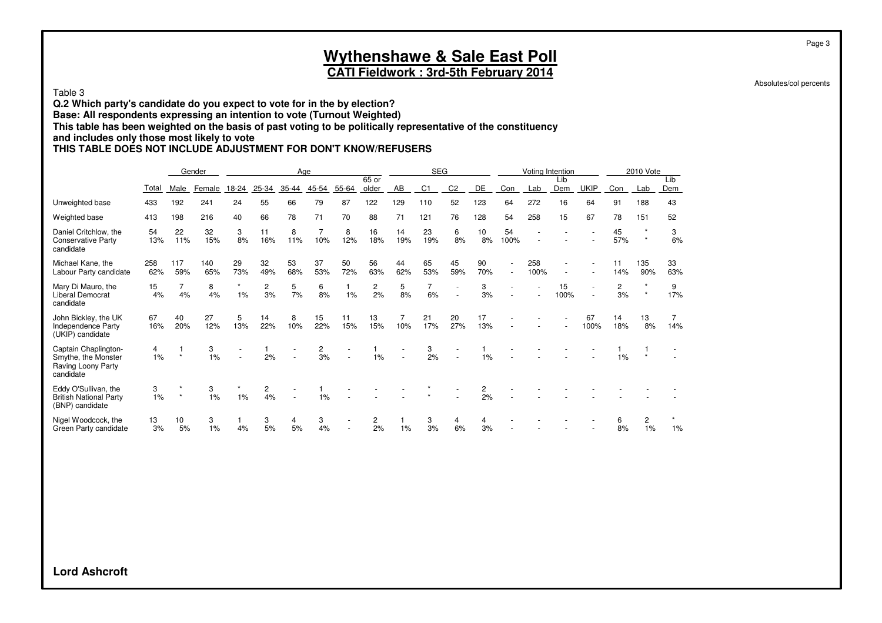### **CATI Fieldwork : 3rd-5th February 2014**

Absolutes/col percents

#### Table 3

**Q.2 Which party's candidate do you expect to vote for in the by election? Base: All respondents expressing an intention to vote (Turnout Weighted) This table has been weighted on the basis of past voting to be politically representative of the constituency**

#### **and includes only those most likely to vote**

#### **THIS TABLE DOES NOT INCLUDE ADJUSTMENT FOR DON'T KNOW/REFUSERS**

|                                                                                |            |            | Gender     |                  |                      |           | Age       |           |                      |           | <b>SEG</b>     |                |                        |            | Voting Intention |            |             |           | 2010 Vote  |            |
|--------------------------------------------------------------------------------|------------|------------|------------|------------------|----------------------|-----------|-----------|-----------|----------------------|-----------|----------------|----------------|------------------------|------------|------------------|------------|-------------|-----------|------------|------------|
|                                                                                | Total      | Male       | Female     | 18-24            | 25-34                | $35 - 44$ | 45-54     | 55-64     | 65 or<br>older       | AB        | C <sub>1</sub> | C <sub>2</sub> | DE                     | Con        | Lab              | Lib<br>Dem | <b>UKIP</b> | Con       | Lab        | Lib<br>Dem |
| Unweighted base                                                                | 433        | 192        | 241        | 24               | 55                   | 66        | 79        | 87        | 122                  | 129       | 110            | 52             | 123                    | 64         | 272              | 16         | 64          | 91        | 188        | 43         |
| Weighted base                                                                  | 413        | 198        | 216        | 40               | 66                   | 78        | 71        | 70        | 88                   | 71        | 121            | 76             | 128                    | 54         | 258              | 15         | 67          | 78        | 151        | 52         |
| Daniel Critchlow, the<br><b>Conservative Party</b><br>candidate                | 54<br>13%  | 22<br>11%  | 32<br>15%  | 3<br>8%          | 11<br>16%            | 8<br>11%  | 10%       | 8<br>12%  | 16<br>18%            | 14<br>19% | 23<br>19%      | 6<br>8%        | 10 <sup>10</sup><br>8% | 54<br>100% |                  |            |             | 45<br>57% | $\star$    | 3<br>6%    |
| Michael Kane, the<br>Labour Party candidate                                    | 258<br>62% | 117<br>59% | 140<br>65% | 29<br>73%        | 32<br>49%            | 53<br>68% | 37<br>53% | 50<br>72% | 56<br>63%            | 44<br>62% | 65<br>53%      | 45<br>59%      | 90<br>70%              | $\sim$     | 258<br>100%      |            |             | 11<br>14% | 135<br>90% | 33<br>63%  |
| Mary Di Mauro, the<br>Liberal Democrat<br>candidate                            | 15<br>4%   | 4%         | 8<br>4%    | $\star$<br>$1\%$ | $\overline{c}$<br>3% | 5<br>7%   | 6<br>8%   | 1%        | $\overline{c}$<br>2% | 5<br>8%   | 7<br>6%        |                | 3<br>3%                |            |                  | 15<br>100% |             | 2<br>3%   |            | 9<br>17%   |
| John Bickley, the UK<br>Independence Party<br>(UKIP) candidate                 | 67<br>16%  | 40<br>20%  | 27<br>12%  | 5<br>13%         | 14<br>22%            | 8<br>10%  | 15<br>22% | 11<br>15% | 13<br>15%            | 10%       | 21<br>17%      | 20<br>27%      | 17<br>13%              |            |                  |            | 67<br>100%  | 14<br>18% | 13<br>8%   | 14%        |
| Captain Chaplington-<br>Smythe, the Monster<br>Raving Loony Party<br>candidate | 4<br>1%    |            | 3<br>1%    |                  | 2%                   |           | 2<br>3%   |           | 1%                   |           | 3<br>2%        |                | 1%                     |            |                  |            |             | 1%        |            |            |
| Eddy O'Sullivan, the<br><b>British National Party</b><br>(BNP) candidate       | 3<br>1%    |            | 3<br>1%    | 1%               | 2<br>4%              |           | 1%        |           |                      |           |                |                | 2<br>2%                |            |                  |            |             |           |            |            |
| Nigel Woodcock, the<br>Green Party candidate                                   | 13<br>3%   | 10<br>5%   | 3<br>1%    | 4%               | 3<br>5%              | 4<br>5%   | 3<br>4%   |           | 2<br>2%              | $1\%$     | 3<br>3%        | 4<br>6%        | 3%                     |            |                  |            |             | 8%        | 2<br>1%    | $1\%$      |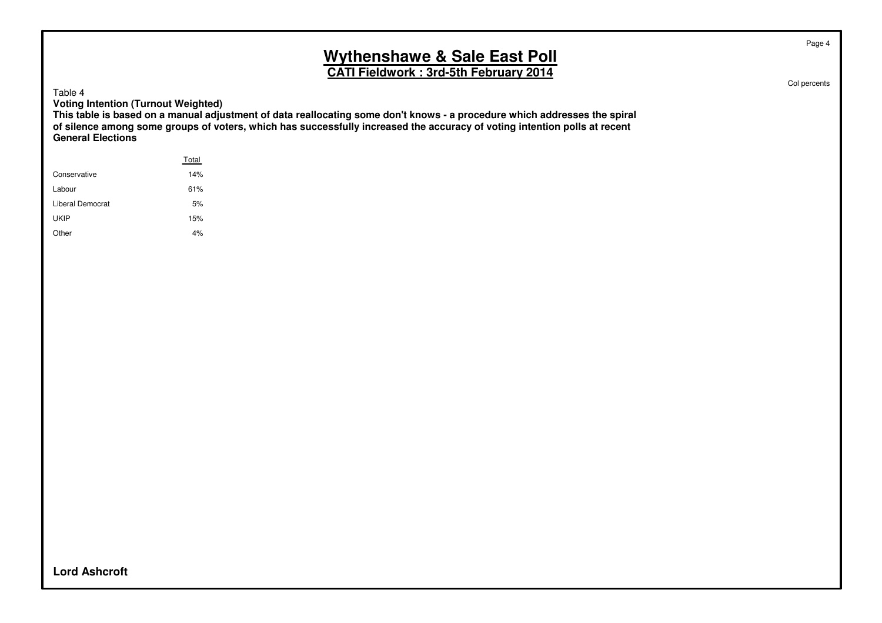**CATI Fieldwork : 3rd-5th February 2014**

Table 4

**Voting Intention (Turnout Weighted)**

**This table is based on a manual adjustment of data reallocating some don't knows - a procedure which addresses the spiral of silence among some groups of voters, which has successfully increased the accuracy of voting intention polls at recent General Elections**

|                  | Total |  |
|------------------|-------|--|
| Conservative     | 14%   |  |
| Labour           | 61%   |  |
| Liberal Democrat | 5%    |  |
| UKIP             | 15%   |  |
| Other            | 4%    |  |
|                  |       |  |

**Lord Ashcroft**

Page 4

Col percents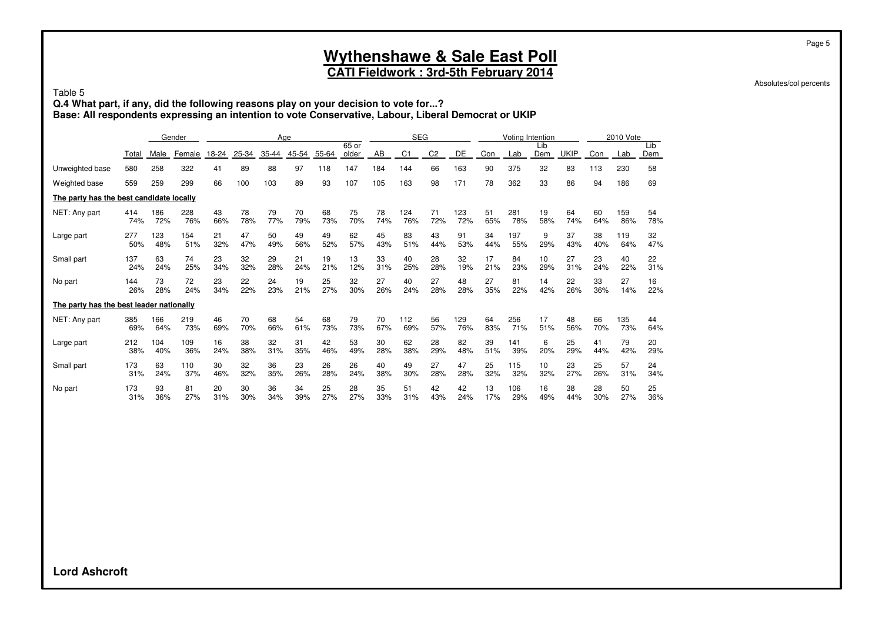## **CATI Fieldwork : 3rd-5th February 2014**

Absolutes/col percents

Page 5

Table 5

**Q.4 What part, if any, did the following reasons play on your decision to vote for...? Base: All respondents expressing an intention to vote Conservative, Labour, Liberal Democrat or UKIP**

|                                          |       |      | Gender |       |       | Age   |       |       |                |     | <b>SEG</b> |                |     |     | Voting Intention |            |             |     | 2010 Vote |            |
|------------------------------------------|-------|------|--------|-------|-------|-------|-------|-------|----------------|-----|------------|----------------|-----|-----|------------------|------------|-------------|-----|-----------|------------|
|                                          | Total | Male | Female | 18-24 | 25-34 | 35-44 | 45-54 | 55-64 | 65 or<br>older | AB  | C1         | C <sub>2</sub> | DE  | Con | Lab              | Lib<br>Dem | <b>UKIP</b> | Con | Lab       | Lib<br>Dem |
| Unweighted base                          | 580   | 258  | 322    | 41    | 89    | 88    | 97    | 118   | 147            | 184 | 144        | 66             | 163 | 90  | 375              | 32         | 83          | 113 | 230       | 58         |
| Weighted base                            | 559   | 259  | 299    | 66    | 100   | 103   | 89    | 93    | 107            | 105 | 163        | 98             | 171 | 78  | 362              | 33         | 86          | 94  | 186       | 69         |
| The party has the best candidate locally |       |      |        |       |       |       |       |       |                |     |            |                |     |     |                  |            |             |     |           |            |
| NET: Any part                            | 414   | 186  | 228    | 43    | 78    | 79    | 70    | 68    | 75             | 78  | 124        | 71             | 123 | 51  | 281              | 19         | 64          | 60  | 159       | 54         |
|                                          | 74%   | 72%  | 76%    | 66%   | 78%   | 77%   | 79%   | 73%   | 70%            | 74% | 76%        | 72%            | 72% | 65% | 78%              | 58%        | 74%         | 64% | 86%       | 78%        |
| Large part                               | 277   | 123  | 154    | 21    | 47    | 50    | 49    | 49    | 62             | 45  | 83         | 43             | 91  | 34  | 197              | 9          | 37          | 38  | 119       | 32         |
|                                          | 50%   | 48%  | 51%    | 32%   | 47%   | 49%   | 56%   | 52%   | 57%            | 43% | 51%        | 44%            | 53% | 44% | 55%              | 29%        | 43%         | 40% | 64%       | 47%        |
| Small part                               | 137   | 63   | 74     | 23    | 32    | 29    | 21    | 19    | 13             | 33  | 40         | 28             | 32  | 17  | 84               | 10         | 27          | 23  | 40        | 22         |
|                                          | 24%   | 24%  | 25%    | 34%   | 32%   | 28%   | 24%   | 21%   | 12%            | 31% | 25%        | 28%            | 19% | 21% | 23%              | 29%        | 31%         | 24% | 22%       | 31%        |
| No part                                  | 144   | 73   | 72     | 23    | 22    | 24    | 19    | 25    | 32             | 27  | 40         | 27             | 48  | 27  | 81               | 14         | 22          | 33  | 27        | 16         |
|                                          | 26%   | 28%  | 24%    | 34%   | 22%   | 23%   | 21%   | 27%   | 30%            | 26% | 24%        | 28%            | 28% | 35% | 22%              | 42%        | 26%         | 36% | 14%       | 22%        |
| The party has the best leader nationally |       |      |        |       |       |       |       |       |                |     |            |                |     |     |                  |            |             |     |           |            |
| NET: Any part                            | 385   | 166  | 219    | 46    | 70    | 68    | 54    | 68    | 79             | 70  | 112        | 56             | 129 | 64  | 256              | 17         | 48          | 66  | 135       | 44         |
|                                          | 69%   | 64%  | 73%    | 69%   | 70%   | 66%   | 61%   | 73%   | 73%            | 67% | 69%        | 57%            | 76% | 83% | 71%              | 51%        | 56%         | 70% | 73%       | 64%        |
| Large part                               | 212   | 104  | 109    | 16    | 38    | 32    | 31    | 42    | 53             | 30  | 62         | 28             | 82  | 39  | 141              | 6          | 25          | 41  | 79        | 20         |
|                                          | 38%   | 40%  | 36%    | 24%   | 38%   | 31%   | 35%   | 46%   | 49%            | 28% | 38%        | 29%            | 48% | 51% | 39%              | 20%        | 29%         | 44% | 42%       | 29%        |
| Small part                               | 173   | 63   | 110    | 30    | 32    | 36    | 23    | 26    | 26             | 40  | 49         | 27             | 47  | 25  | 115              | 10         | 23          | 25  | 57        | 24         |
|                                          | 31%   | 24%  | 37%    | 46%   | 32%   | 35%   | 26%   | 28%   | 24%            | 38% | 30%        | 28%            | 28% | 32% | 32%              | 32%        | 27%         | 26% | 31%       | 34%        |
| No part                                  | 173   | 93   | 81     | 20    | 30    | 36    | 34    | 25    | 28             | 35  | 51         | 42             | 42  | 13  | 106              | 16         | 38          | 28  | 50        | 25         |
|                                          | 31%   | 36%  | 27%    | 31%   | 30%   | 34%   | 39%   | 27%   | 27%            | 33% | 31%        | 43%            | 24% | 17% | 29%              | 49%        | 44%         | 30% | 27%       | 36%        |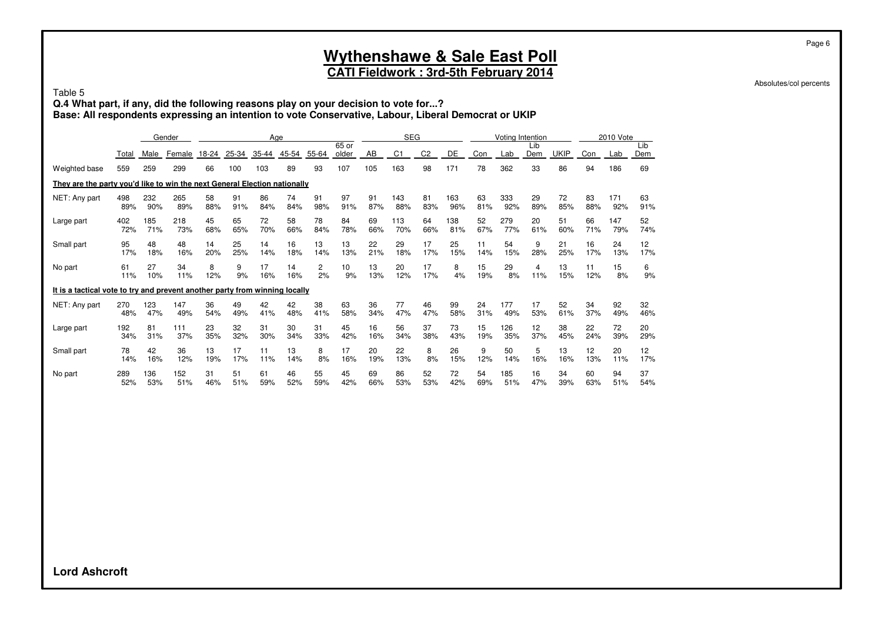## **CATI Fieldwork : 3rd-5th February 2014**

Absolutes/col percents

Page 6

Table 5

**Q.4 What part, if any, did the following reasons play on your decision to vote for...? Base: All respondents expressing an intention to vote Conservative, Labour, Liberal Democrat or UKIP**

|                                                                             |       |      | Gender |       |       |       | Age   |       |                |     | <b>SEG</b>     |                |     |     | Votina Intention |            |             |     | 2010 Vote |            |
|-----------------------------------------------------------------------------|-------|------|--------|-------|-------|-------|-------|-------|----------------|-----|----------------|----------------|-----|-----|------------------|------------|-------------|-----|-----------|------------|
|                                                                             | Total | Male | Female | 18-24 | 25-34 | 35-44 | 45-54 | 55-64 | 65 or<br>older | AB  | C <sub>1</sub> | C <sub>2</sub> | DE  | Con | Lab              | Lib<br>Dem | <b>UKIP</b> | Con | Lab       | Lib<br>Dem |
| Weighted base                                                               | 559   | 259  | 299    | 66    | 100   | 103   | 89    | 93    | 107            | 105 | 163            | 98             | 171 | 78  | 362              | 33         | 86          | 94  | 186       | 69         |
| They are the party you'd like to win the next General Election nationally   |       |      |        |       |       |       |       |       |                |     |                |                |     |     |                  |            |             |     |           |            |
| NET: Any part                                                               | 498   | 232  | 265    | 58    | 91    | 86    | 74    | 91    | 97             | 91  | 143            | 81             | 163 | 63  | 333              | 29         | 72          | 83  | 171       | 63         |
|                                                                             | 89%   | 90%  | 89%    | 88%   | 91%   | 84%   | 84%   | 98%   | 91%            | 87% | 88%            | 83%            | 96% | 81% | 92%              | 89%        | 85%         | 88% | 92%       | 91%        |
| Large part                                                                  | 402   | 185  | 218    | 45    | 65    | 72    | 58    | 78    | 84             | 69  | 113            | 64             | 138 | 52  | 279              | 20         | 51          | 66  | 147       | 52         |
|                                                                             | 72%   | 71%  | 73%    | 68%   | 65%   | 70%   | 66%   | 84%   | 78%            | 66% | 70%            | 66%            | 81% | 67% | 77%              | 61%        | 60%         | 71% | 79%       | 74%        |
| Small part                                                                  | 95    | 48   | 48     | 14    | 25    | 14    | 16    | 13    | 13             | 22  | 29             | 17             | 25  | 11  | 54               | 9          | 21          | 16  | 24        | 12         |
|                                                                             | 17%   | 18%  | 16%    | 20%   | 25%   | 14%   | 18%   | 14%   | 13%            | 21% | 18%            | 17%            | 15% | 14% | 15%              | 28%        | 25%         | 17% | 13%       | 17%        |
| No part                                                                     | 61    | 27   | 34     | 8     | 9     | 17    | 14    | 2     | 10             | 13  | 20             | 17             | 8   | 15  | 29               | 4          | 13          | 11  | 15        | 6          |
|                                                                             | 11%   | 10%  | 11%    | 12%   | 9%    | 16%   | 16%   | 2%    | 9%             | 13% | 12%            | 17%            | 4%  | 19% | 8%               | 11%        | 15%         | 12% | 8%        | 9%         |
| It is a tactical vote to try and prevent another party from winning locally |       |      |        |       |       |       |       |       |                |     |                |                |     |     |                  |            |             |     |           |            |
| NET: Any part                                                               | 270   | 123  | 147    | 36    | 49    | 42    | 42    | 38    | 63             | 36  | 77             | 46             | 99  | 24  | 177              | 17         | 52          | 34  | 92        | 32         |
|                                                                             | 48%   | 47%  | 49%    | 54%   | 49%   | 41%   | 48%   | 41%   | 58%            | 34% | 47%            | 47%            | 58% | 31% | 49%              | 53%        | 61%         | 37% | 49%       | 46%        |
| Large part                                                                  | 192   | 81   | 111    | 23    | 32    | 31    | 30    | 31    | 45             | 16  | 56             | 37             | 73  | 15  | 126              | 12         | 38          | 22  | 72        | 20         |
|                                                                             | 34%   | 31%  | 37%    | 35%   | 32%   | 30%   | 34%   | 33%   | 42%            | 16% | 34%            | 38%            | 43% | 19% | 35%              | 37%        | 45%         | 24% | 39%       | 29%        |
| Small part                                                                  | 78    | 42   | 36     | 13    | 17    | 11    | 13    | 8     | 17             | 20  | 22             | 8              | 26  | 9   | 50               | 5          | 13          | 12  | 20        | 12         |
|                                                                             | 14%   | 16%  | 12%    | 19%   | 17%   | 11%   | 14%   | 8%    | 16%            | 19% | 13%            | 8%             | 15% | 12% | 14%              | 16%        | 16%         | 13% | 11%       | 17%        |
| No part                                                                     | 289   | 136  | 152    | 31    | 51    | 61    | 46    | 55    | 45             | 69  | 86             | 52             | 72  | 54  | 185              | 16         | 34          | 60  | 94        | 37         |
|                                                                             | 52%   | 53%  | 51%    | 46%   | 51%   | 59%   | 52%   | 59%   | 42%            | 66% | 53%            | 53%            | 42% | 69% | 51%              | 47%        | 39%         | 63% | 51%       | 54%        |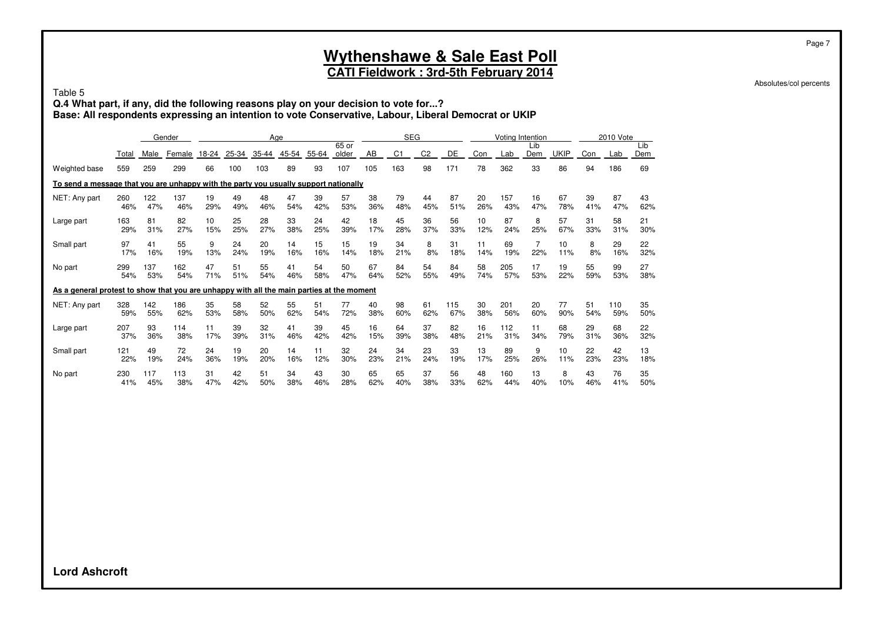## **CATI Fieldwork : 3rd-5th February 2014**

Absolutes/col percents

Page 7

#### Table 5

**Q.4 What part, if any, did the following reasons play on your decision to vote for...? Base: All respondents expressing an intention to vote Conservative, Labour, Liberal Democrat or UKIP**

|                                                                                           |       |      | Gender |       |       |       | Age   |       |                  |     | <b>SEG</b>     |                |     |     |     | Voting Intention |             |     | 2010 Vote |            |
|-------------------------------------------------------------------------------------------|-------|------|--------|-------|-------|-------|-------|-------|------------------|-----|----------------|----------------|-----|-----|-----|------------------|-------------|-----|-----------|------------|
|                                                                                           | Total | Male | Female | 18-24 | 25-34 | 35-44 | 45-54 | 55-64 | $65$ or<br>older | AB  | C <sub>1</sub> | C <sub>2</sub> | DE  | Con | Lab | Lib<br>Dem       | <b>UKIP</b> | Con | Lab       | Lib<br>Dem |
| Weighted base                                                                             | 559   | 259  | 299    | 66    | 100   | 103   | 89    | 93    | 107              | 105 | 163            | 98             | 171 | 78  | 362 | 33               | 86          | 94  | 186       | 69         |
| To send a message that you are unhappy with the party you usually support nationally      |       |      |        |       |       |       |       |       |                  |     |                |                |     |     |     |                  |             |     |           |            |
| NET: Any part                                                                             | 260   | 122  | 137    | 19    | 49    | 48    | 47    | 39    | 57               | 38  | 79             | 44             | 87  | 20  | 157 | 16               | 67          | 39  | 87        | 43         |
|                                                                                           | 46%   | 47%  | 46%    | 29%   | 49%   | 46%   | 54%   | 42%   | 53%              | 36% | 48%            | 45%            | 51% | 26% | 43% | 47%              | 78%         | 41% | 47%       | 62%        |
| Large part                                                                                | 163   | 81   | 82     | 10    | 25    | 28    | 33    | 24    | 42               | 18  | 45             | 36             | 56  | 10  | 87  | 8                | 57          | 31  | 58        | 21         |
|                                                                                           | 29%   | 31%  | 27%    | 15%   | 25%   | 27%   | 38%   | 25%   | 39%              | 17% | 28%            | 37%            | 33% | 12% | 24% | 25%              | 67%         | 33% | 31%       | 30%        |
| Small part                                                                                | 97    | 41   | 55     | 9     | 24    | 20    | 14    | 15    | 15               | 19  | 34             | 8              | 31  | 11  | 69  | $\overline{7}$   | 10          | 8   | 29        | 22         |
|                                                                                           | 17%   | 16%  | 19%    | 13%   | 24%   | 19%   | 16%   | 16%   | 14%              | 18% | 21%            | 8%             | 18% | 14% | 19% | 22%              | 11%         | 8%  | 16%       | 32%        |
| No part                                                                                   | 299   | 137  | 162    | 47    | 51    | 55    | 41    | 54    | 50               | 67  | 84             | 54             | 84  | 58  | 205 | 17               | 19          | 55  | 99        | 27         |
|                                                                                           | 54%   | 53%  | 54%    | 71%   | 51%   | 54%   | 46%   | 58%   | 47%              | 64% | 52%            | 55%            | 49% | 74% | 57% | 53%              | 22%         | 59% | 53%       | 38%        |
| As a general protest to show that you are unhappy with all the main parties at the moment |       |      |        |       |       |       |       |       |                  |     |                |                |     |     |     |                  |             |     |           |            |
| NET: Any part                                                                             | 328   | 142  | 186    | 35    | 58    | 52    | 55    | 51    | 77               | 40  | 98             | 61             | 115 | 30  | 201 | 20               | 77          | 51  | 110       | 35         |
|                                                                                           | 59%   | 55%  | 62%    | 53%   | 58%   | 50%   | 62%   | 54%   | 72%              | 38% | 60%            | 62%            | 67% | 38% | 56% | 60%              | 90%         | 54% | 59%       | 50%        |
| Large part                                                                                | 207   | 93   | 114    | 11    | 39    | 32    | 41    | 39    | 45               | 16  | 64             | 37             | 82  | 16  | 112 | 11               | 68          | 29  | 68        | 22         |
|                                                                                           | 37%   | 36%  | 38%    | 17%   | 39%   | 31%   | 46%   | 42%   | 42%              | 15% | 39%            | 38%            | 48% | 21% | 31% | 34%              | 79%         | 31% | 36%       | 32%        |
| Small part                                                                                | 121   | 49   | 72     | 24    | 19    | 20    | 14    | 11    | 32               | 24  | 34             | 23             | 33  | 13  | 89  | 9                | 10          | 22  | 42        | 13         |
|                                                                                           | 22%   | 19%  | 24%    | 36%   | 19%   | 20%   | 16%   | 12%   | 30%              | 23% | 21%            | 24%            | 19% | 17% | 25% | 26%              | 11%         | 23% | 23%       | 18%        |
| No part                                                                                   | 230   | 117  | 113    | 31    | 42    | 51    | 34    | 43    | 30               | 65  | 65             | 37             | 56  | 48  | 160 | 13               | 8           | 43  | 76        | 35         |
|                                                                                           | 41%   | 45%  | 38%    | 47%   | 42%   | 50%   | 38%   | 46%   | 28%              | 62% | 40%            | 38%            | 33% | 62% | 44% | 40%              | 10%         | 46% | 41%       | 50%        |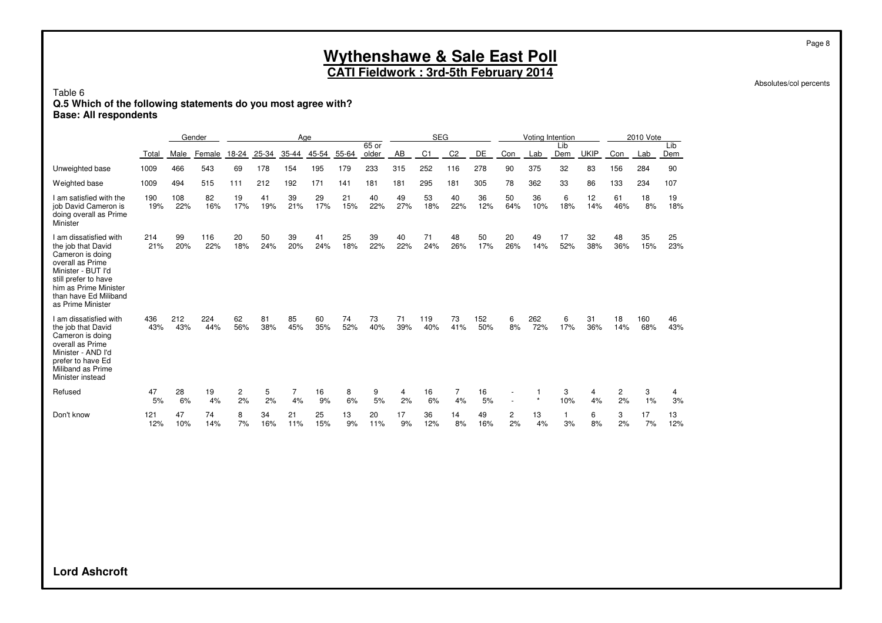#### **Wythenshawe & Sale East Poll CATI Fieldwork : 3rd-5th February 2014**

Absolutes/col percents

#### Table 6

#### **Q.5 Which of the following statements do you most agree with? Base: All respondents**

|                                                                                                                                                                                                           |            |            | Gender     |                      |           | Aae       |           |           |                |           | <b>SEG</b>     |                |            |           | Voting Intention |                    |             |                      | 2010 Vote  |            |
|-----------------------------------------------------------------------------------------------------------------------------------------------------------------------------------------------------------|------------|------------|------------|----------------------|-----------|-----------|-----------|-----------|----------------|-----------|----------------|----------------|------------|-----------|------------------|--------------------|-------------|----------------------|------------|------------|
|                                                                                                                                                                                                           | Total      | Male       | Female     | 18-24                | 25-34     | 35-44     | 45-54     | 55-64     | 65 or<br>older | AB        | C <sub>1</sub> | C <sub>2</sub> | DE         | Con       | Lab              | Lib<br>Dem         | <b>UKIP</b> | Con                  | Lab        | Lib<br>Dem |
| Unweighted base                                                                                                                                                                                           | 1009       | 466        | 543        | 69                   | 178       | 154       | 195       | 179       | 233            | 315       | 252            | 116            | 278        | 90        | 375              | 32                 | 83          | 156                  | 284        | 90         |
| Weighted base                                                                                                                                                                                             | 1009       | 494        | 515        | 111                  | 212       | 192       | 171       | 141       | 181            | 181       | 295            | 181            | 305        | 78        | 362              | 33                 | 86          | 133                  | 234        | 107        |
| I am satisfied with the<br>job David Cameron is<br>doing overall as Prime<br>Minister                                                                                                                     | 190<br>19% | 108<br>22% | 82<br>16%  | 19<br>17%            | 41<br>19% | 39<br>21% | 29<br>17% | 21<br>15% | 40<br>22%      | 49<br>27% | 53<br>18%      | 40<br>22%      | 36<br>12%  | 50<br>64% | 36<br>10%        | 6<br>18%           | 12<br>14%   | 61<br>46%            | 18<br>8%   | 19<br>18%  |
| I am dissatisfied with<br>the job that David<br>Cameron is doing<br>overall as Prime<br>Minister - BUT I'd<br>still prefer to have<br>him as Prime Minister<br>than have Ed Miliband<br>as Prime Minister | 214<br>21% | 99<br>20%  | 116<br>22% | 20<br>18%            | 50<br>24% | 39<br>20% | 41<br>24% | 25<br>18% | 39<br>22%      | 40<br>22% | 71<br>24%      | 48<br>26%      | 50<br>17%  | 20<br>26% | 49<br>14%        | 17<br>52%          | 32<br>38%   | 48<br>36%            | 35<br>15%  | 25<br>23%  |
| I am dissatisfied with<br>the job that David<br>Cameron is doing<br>overall as Prime<br>Minister - AND I'd<br>prefer to have Ed<br>Miliband as Prime<br>Minister instead                                  | 436<br>43% | 212<br>43% | 224<br>44% | 62<br>56%            | 81<br>38% | 85<br>45% | 60<br>35% | 74<br>52% | 73<br>40%      | 71<br>39% | 119<br>40%     | 73<br>41%      | 152<br>50% | 6<br>8%   | 262<br>72%       | 6<br>17%           | 31<br>36%   | 18<br>14%            | 160<br>68% | 46<br>43%  |
| Refused                                                                                                                                                                                                   | 47<br>5%   | 28<br>6%   | 19<br>4%   | $\overline{c}$<br>2% | 5<br>2%   | 7<br>4%   | 16<br>9%  | 8<br>6%   | 9<br>5%        | 4<br>2%   | 16<br>6%       | 7<br>4%        | 16<br>5%   |           |                  | 3<br>10%           | 4<br>4%     | $\overline{c}$<br>2% | 3<br>1%    | 4<br>3%    |
| Don't know                                                                                                                                                                                                | 121<br>12% | 47<br>10%  | 74<br>14%  | 8<br>7%              | 34<br>16% | 21<br>11% | 25<br>15% | 13<br>9%  | 20<br>11%      | 17<br>9%  | 36<br>12%      | 14<br>8%       | 49<br>16%  | 2<br>2%   | 13<br>4%         | $\mathbf{1}$<br>3% | 6<br>8%     | 3<br>2%              | 17<br>7%   | 13<br>12%  |

**Lord Ashcroft**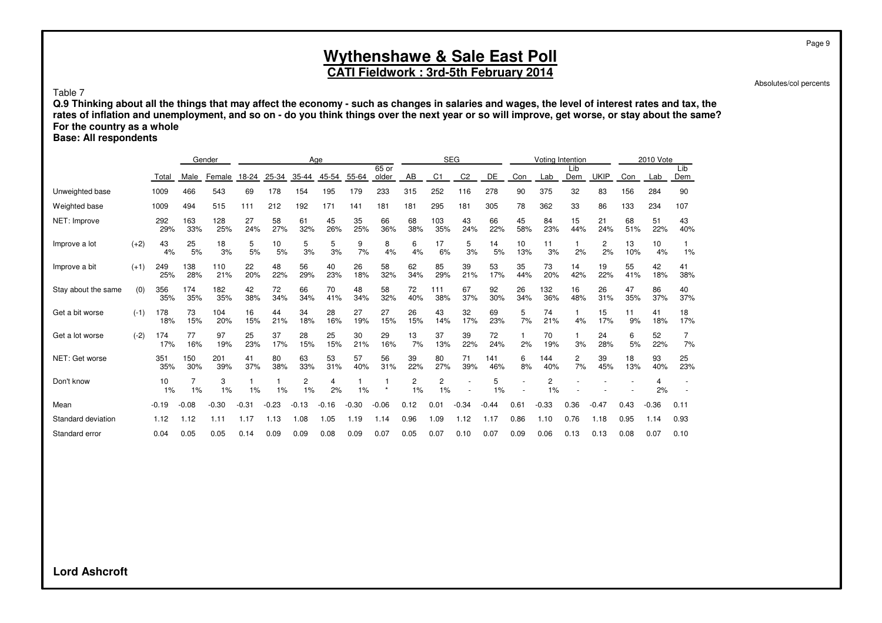### **CATI Fieldwork : 3rd-5th February 2014**

Absolutes/col percents

Page 9

Table 7

**Q.9 Thinking about all the things that may affect the economy - such as changes in salaries and wages, the level of interest rates and tax, the rates of inflation and unemployment, and so on - do you think things over the next year or so will improve, get worse, or stay about the same? For the country as a whole**

**Base: All respondents**

|                     |        |            |            | Gender     |           |           |           | Age       |           |           |                      |                | <b>SEG</b>     |            |           |            | Voting Intention |             |           | 2010 Vote |           |
|---------------------|--------|------------|------------|------------|-----------|-----------|-----------|-----------|-----------|-----------|----------------------|----------------|----------------|------------|-----------|------------|------------------|-------------|-----------|-----------|-----------|
|                     |        |            |            |            |           |           |           |           |           | $65$ or   |                      |                |                |            |           |            | Lib              |             |           |           | Lib       |
|                     |        | Total      | Male       | Female     | 18-24     | 25-34     | 35-44     | 45-54     | 55-64     | older     | AB                   | C <sub>1</sub> | C <sub>2</sub> | DE         | Con       | Lab        | Dem              | <b>UKIP</b> | Con       | Lab       | Dem       |
| Unweighted base     |        | 1009       | 466        | 543        | 69        | 178       | 154       | 195       | 179       | 233       | 315                  | 252            | 116            | 278        | 90        | 375        | 32               | 83          | 156       | 284       | 90        |
| Weighted base       |        | 1009       | 494        | 515        | 111       | 212       | 192       | 171       | 141       | 181       | 181                  | 295            | 181            | 305        | 78        | 362        | 33               | 86          | 133       | 234       | 107       |
| NET: Improve        |        | 292<br>29% | 163<br>33% | 128<br>25% | 27<br>24% | 58<br>27% | 61<br>32% | 45<br>26% | 35<br>25% | 66<br>36% | 68<br>38%            | 103<br>35%     | 43<br>24%      | 66<br>22%  | 45<br>58% | 84<br>23%  | 15<br>44%        | 21<br>24%   | 68<br>51% | 51<br>22% | 43<br>40% |
| Improve a lot       | $(+2)$ | 43<br>4%   | 25<br>5%   | 18<br>3%   | 5<br>5%   | 10<br>5%  | 5<br>3%   | 5<br>3%   | 9<br>7%   | 8<br>4%   | 6<br>4%              | 17<br>6%       | 5<br>3%        | 14<br>5%   | 10<br>13% | 11<br>3%   | 2%               | 2<br>2%     | 13<br>10% | 10<br>4%  | 1%        |
| Improve a bit       | $(+1)$ | 249<br>25% | 138<br>28% | 110<br>21% | 22<br>20% | 48<br>22% | 56<br>29% | 40<br>23% | 26<br>18% | 58<br>32% | 62<br>34%            | 85<br>29%      | 39<br>21%      | 53<br>17%  | 35<br>44% | 73<br>20%  | 14<br>42%        | 19<br>22%   | 55<br>41% | 42<br>18% | 41<br>38% |
| Stay about the same | (0)    | 356<br>35% | 174<br>35% | 182<br>35% | 42<br>38% | 72<br>34% | 66<br>34% | 70<br>41% | 48<br>34% | 58<br>32% | 72<br>40%            | 111<br>38%     | 67<br>37%      | 92<br>30%  | 26<br>34% | 132<br>36% | 16<br>48%        | 26<br>31%   | 47<br>35% | 86<br>37% | 40<br>37% |
| Get a bit worse     | $(-1)$ | 178<br>18% | 73<br>15%  | 104<br>20% | 16<br>15% | 44<br>21% | 34<br>18% | 28<br>16% | 27<br>19% | 27<br>15% | 26<br>15%            | 43<br>14%      | 32<br>17%      | 69<br>23%  | 5<br>7%   | 74<br>21%  | 4%               | 15<br>17%   | 11<br>9%  | 41<br>18% | 18<br>17% |
| Get a lot worse     | $(-2)$ | 174<br>17% | 77<br>16%  | 97<br>19%  | 25<br>23% | 37<br>17% | 28<br>15% | 25<br>15% | 30<br>21% | 29<br>16% | 13<br>7%             | 37<br>13%      | 39<br>22%      | 72<br>24%  | 2%        | 70<br>19%  | 3%               | 24<br>28%   | 6<br>5%   | 52<br>22% | 7%        |
| NET: Get worse      |        | 351<br>35% | 150<br>30% | 201<br>39% | 41<br>37% | 80<br>38% | 63<br>33% | 53<br>31% | 57<br>40% | 56<br>31% | 39<br>22%            | 80<br>27%      | 71<br>39%      | 141<br>46% | 6<br>8%   | 144<br>40% | 2<br>7%          | 39<br>45%   | 18<br>13% | 93<br>40% | 25<br>23% |
| Don't know          |        | 10<br>1%   | 1%         | 3<br>1%    | 1%        | 1%        | 2<br>1%   | 4<br>2%   | 1%        | $\star$   | $\overline{c}$<br>1% | 2<br>1%        |                | 5<br>1%    |           | 2<br>1%    |                  |             |           | 4<br>2%   |           |
| Mean                |        | $-0.19$    | $-0.08$    | $-0.30$    | $-0.31$   | $-0.23$   | $-0.13$   | $-0.16$   | $-0.30$   | $-0.06$   | 0.12                 | 0.01           | $-0.34$        | $-0.44$    | 0.61      | $-0.33$    | 0.36             | $-0.47$     | 0.43      | $-0.36$   | 0.11      |
| Standard deviation  |        | 1.12       | 1.12       | 1.11       | 1.17      | 1.13      | 0.08      | 1.05      | 1.19      | 1.14      | 0.96                 | 1.09           | 1.12           | 1.17       | 0.86      | 1.10       | 0.76             | 1.18        | 0.95      | 1.14      | 0.93      |
| Standard error      |        | 0.04       | 0.05       | 0.05       | 0.14      | 0.09      | 0.09      | 0.08      | 0.09      | 0.07      | 0.05                 | 0.07           | 0.10           | 0.07       | 0.09      | 0.06       | 0.13             | 0.13        | 0.08      | 0.07      | 0.10      |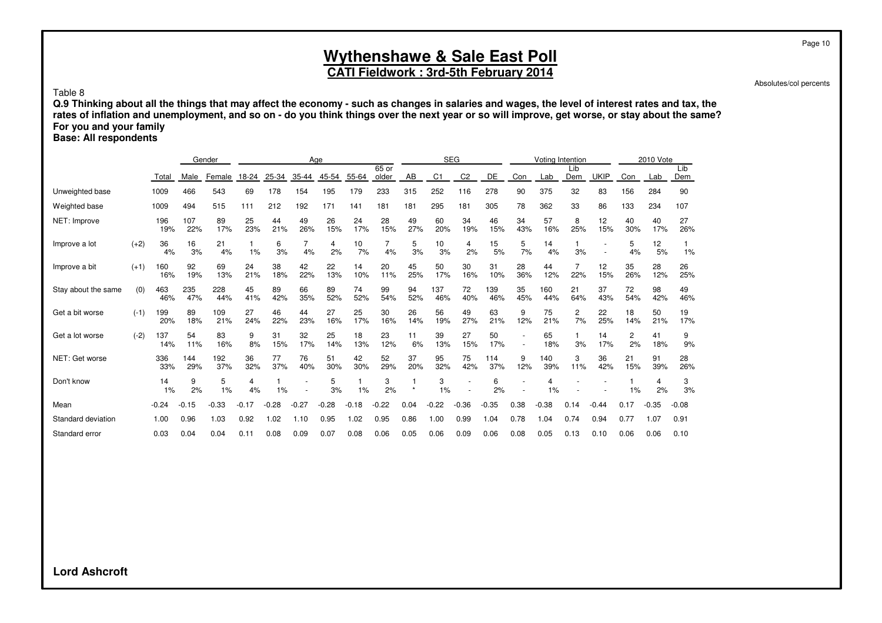### **CATI Fieldwork : 3rd-5th February 2014**

Absolutes/col percents

Table 8

**Q.9 Thinking about all the things that may affect the economy - such as changes in salaries and wages, the level of interest rates and tax, the rates of inflation and unemployment, and so on - do you think things over the next year or so will improve, get worse, or stay about the same? For you and your family**

**Base: All respondents**

|                     |        |            |            | Gender     |           |           |           | Age       |           |           |           |            | <b>SEG</b>     |            |           | Voting Intention |           |             |                      | 2010 Vote |           |
|---------------------|--------|------------|------------|------------|-----------|-----------|-----------|-----------|-----------|-----------|-----------|------------|----------------|------------|-----------|------------------|-----------|-------------|----------------------|-----------|-----------|
|                     |        |            |            |            |           |           |           |           |           | $65$ or   |           |            |                |            |           |                  | Lib       |             |                      |           | Lib       |
|                     |        | Total      | Male       | Female     | 18-24     | 25-34     | $35 - 44$ | 45-54     | 55-64     | older     | AB        | C1         | C <sub>2</sub> | DE         | Con       | Lab              | Dem       | <b>UKIP</b> | Con                  | Lab       | Dem       |
| Unweighted base     |        | 1009       | 466        | 543        | 69        | 178       | 154       | 195       | 179       | 233       | 315       | 252        | 116            | 278        | 90        | 375              | 32        | 83          | 156                  | 284       | 90        |
| Weighted base       |        | 1009       | 494        | 515        | 111       | 212       | 192       | 171       | 141       | 181       | 181       | 295        | 181            | 305        | 78        | 362              | 33        | 86          | 133                  | 234       | 107       |
| NET: Improve        |        | 196<br>19% | 107<br>22% | 89<br>17%  | 25<br>23% | 44<br>21% | 49<br>26% | 26<br>15% | 24<br>17% | 28<br>15% | 49<br>27% | 60<br>20%  | 34<br>19%      | 46<br>15%  | 34<br>43% | 57<br>16%        | 8<br>25%  | 12<br>15%   | 40<br>30%            | 40<br>17% | 27<br>26% |
| Improve a lot       | $(+2)$ | 36<br>4%   | 16<br>3%   | 21<br>4%   | 1%        | 6<br>3%   | 4%        | 4<br>2%   | 10<br>7%  | 4%        | 5<br>3%   | 10<br>3%   | 4<br>2%        | 15<br>5%   | 5<br>7%   | 14<br>4%         | 3%        |             | 5<br>4%              | 12<br>5%  | 1%        |
| Improve a bit       | $(+1)$ | 160<br>16% | 92<br>19%  | 69<br>13%  | 24<br>21% | 38<br>18% | 42<br>22% | 22<br>13% | 14<br>10% | 20<br>11% | 45<br>25% | 50<br>17%  | 30<br>16%      | 31<br>10%  | 28<br>36% | 44<br>12%        | 22%       | 12<br>15%   | 35<br>26%            | 28<br>12% | 26<br>25% |
| Stay about the same | (0)    | 463<br>46% | 235<br>47% | 228<br>44% | 45<br>41% | 89<br>42% | 66<br>35% | 89<br>52% | 74<br>52% | 99<br>54% | 94<br>52% | 137<br>46% | 72<br>40%      | 139<br>46% | 35<br>45% | 160<br>44%       | 21<br>64% | 37<br>43%   | 72<br>54%            | 98<br>42% | 49<br>46% |
| Get a bit worse     | $(-1)$ | 199<br>20% | 89<br>18%  | 109<br>21% | 27<br>24% | 46<br>22% | 44<br>23% | 27<br>16% | 25<br>17% | 30<br>16% | 26<br>14% | 56<br>19%  | 49<br>27%      | 63<br>21%  | 9<br>12%  | 75<br>21%        | 2<br>7%   | 22<br>25%   | 18<br>14%            | 50<br>21% | 19<br>17% |
| Get a lot worse     | $(-2)$ | 137<br>14% | 54<br>11%  | 83<br>16%  | 9<br>8%   | 31<br>15% | 32<br>17% | 25<br>14% | 18<br>13% | 23<br>12% | 11<br>6%  | 39<br>13%  | 27<br>15%      | 50<br>17%  |           | 65<br>18%        | 3%        | 14<br>17%   | $\overline{c}$<br>2% | 41<br>18% | 9<br>9%   |
| NET: Get worse      |        | 336<br>33% | 144<br>29% | 192<br>37% | 36<br>32% | 77<br>37% | 76<br>40% | 51<br>30% | 42<br>30% | 52<br>29% | 37<br>20% | 95<br>32%  | 75<br>42%      | 114<br>37% | 9<br>12%  | 140<br>39%       | 3<br>11%  | 36<br>42%   | 21<br>15%            | 91<br>39% | 28<br>26% |
| Don't know          |        | 14<br>1%   | 9<br>2%    | 5<br>1%    | 4<br>4%   | 1%        |           | 5<br>3%   | 1%        | 3<br>2%   | $\star$   | 3<br>1%    |                | 6<br>2%    |           | 4<br>1%          |           |             | 1%                   | 4<br>2%   | 3<br>3%   |
| Mean                |        | $-0.24$    | $-0.15$    | $-0.33$    | $-0.17$   | .28<br>-0 | $-0.27$   | $-0.28$   | $-0.18$   | $-0.22$   | 0.04      | $-0.22$    | $-0.36$        | $-0.35$    | 0.38      | $-0.38$          | 0.14      | $-0.44$     | 0.17                 | $-0.35$   | $-0.08$   |
| Standard deviation  |        | 1.00       | 0.96       | 1.03       | 0.92      | 1.02      | 1.10      | 0.95      | 1.02      | 0.95      | 0.86      | 1.00       | 0.99           | 1.04       | 0.78      | .04              | 0.74      | 0.94        | 0.77                 | 1.07      | 0.91      |
| Standard error      |        | 0.03       | 0.04       | 0.04       | 0.11      | 0.08      | 0.09      | 0.07      | 0.08      | 0.06      | 0.05      | 0.06       | 0.09           | 0.06       | 0.08      | 0.05             | 0.13      | 0.10        | 0.06                 | 0.06      | 0.10      |

**Lord Ashcroft**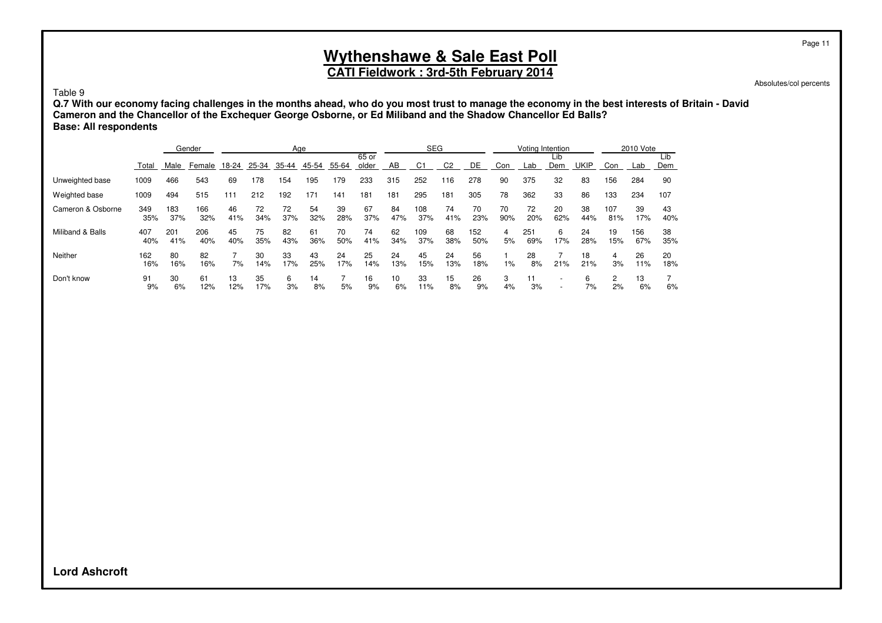## **CATI Fieldwork : 3rd-5th February 2014**

Absolutes/col percents

Page 11

#### Table 9

**Q.7 With our economy facing challenges in the months ahead, who do you most trust to manage the economy in the best interests of Britain - David Cameron and the Chancellor of the Exchequer George Osborne, or Ed Miliband and the Shadow Chancellor Ed Balls? Base: All respondents**

|                   |            |            | Gender     |           |           |           | Age       |           |                |           | <b>SEG</b>     |                |            |           |            | Voting Intention |             |            | 2010 Vote  |            |
|-------------------|------------|------------|------------|-----------|-----------|-----------|-----------|-----------|----------------|-----------|----------------|----------------|------------|-----------|------------|------------------|-------------|------------|------------|------------|
|                   | Total      | Male       | Female     | 18-24     | 25-34     | 35-44     | 45-54     | 55-64     | 65 or<br>older | AB        | C <sup>+</sup> | C <sub>2</sub> | DE         | Con       | Lab        | Lib<br>Dem       | <b>UKIP</b> | Con        | Lab        | Lib<br>Dem |
| Unweighted base   | 1009       | 466        | 543        | 69        | 178       | 54        | 195       | 179       | 233            | 315       | 252            | 16             | 278        | 90        | 375        | 32               | 83          | 156        | 284        | 90         |
| Weighted base     | 1009       | 494        | 515        | 111       | 212       | 192       | 171       | 141       | 181            | 181       | 295            | 181            | 305        | 78        | 362        | 33               | 86          | 133        | 234        | 107        |
| Cameron & Osborne | 349<br>35% | 183<br>37% | 166<br>32% | 46<br>41% | 72<br>34% | 72<br>37% | 54<br>32% | 39<br>28% | 67<br>37%      | 84<br>47% | 108<br>37%     | 74<br>41%      | 70<br>23%  | 70<br>90% | 72<br>20%  | 20<br>62%        | 38<br>44%   | 107<br>81% | 39<br>17%  | 43<br>40%  |
| Miliband & Balls  | 407<br>40% | 201<br>41% | 206<br>40% | 45<br>40% | 75<br>35% | 82<br>43% | 61<br>36% | 70<br>50% | 74<br>41%      | 62<br>34% | 109<br>37%     | 68<br>38%      | 152<br>50% | 4<br>5%   | 251<br>69% | 6<br>17%         | 24<br>28%   | 19<br>15%  | 156<br>67% | 38<br>35%  |
| Neither           | 162<br>16% | 80<br>16%  | 82<br>16%  | 7%        | 30<br>14% | 33<br>17% | 43<br>25% | 24<br>17% | 25<br>14%      | 24<br>13% | 45<br>15%      | 24<br>13%      | 56<br>18%  | $1\%$     | 28<br>8%   | 21%              | 18<br>21%   | 4<br>3%    | 26<br>11%  | 20<br>18%  |
| Don't know        | 91<br>9%   | 30<br>6%   | 61<br>12%  | 13<br>12% | 35<br>17% | 6<br>3%   | 14<br>8%  | 5%        | 16<br>9%       | 10<br>6%  | 33<br>11%      | 15<br>8%       | 26<br>9%   | 3<br>4%   | 11<br>3%   |                  | 6<br>7%     | 2<br>2%    | 13<br>6%   | 6%         |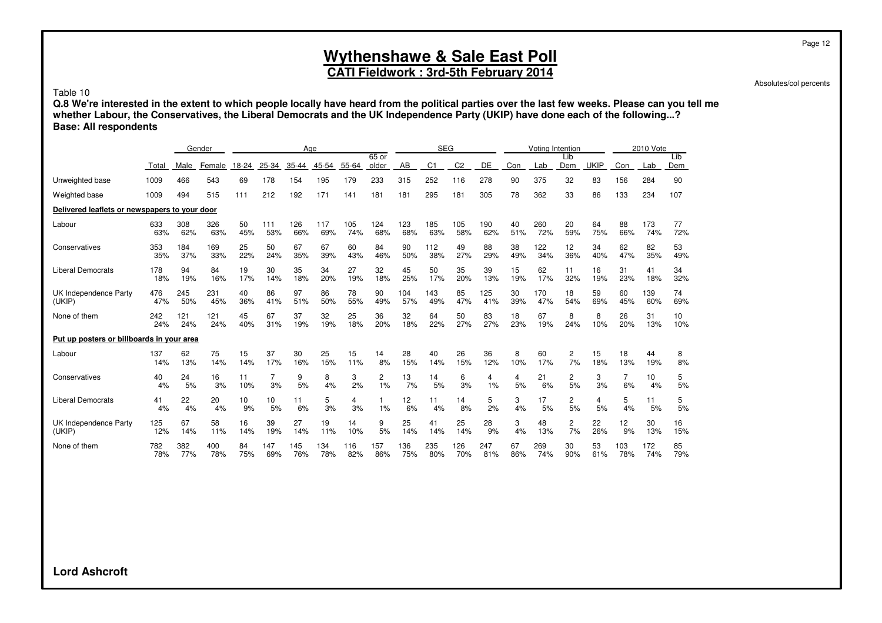## **CATI Fieldwork : 3rd-5th February 2014**

Absolutes/col percents

Page 12

Table 10

**Q.8 We're interested in the extent to which people locally have heard from the political parties over the last few weeks. Please can you tell me whether Labour, the Conservatives, the Liberal Democrats and the UK Independence Party (UKIP) have done each of the following...? Base: All respondents**

|                                               |          |          | Gender   |          |                | Age      |         |         |                |          | <b>SEG</b> |                |                |         | Voting Intention |            |             |                | 2010 Vote |            |
|-----------------------------------------------|----------|----------|----------|----------|----------------|----------|---------|---------|----------------|----------|------------|----------------|----------------|---------|------------------|------------|-------------|----------------|-----------|------------|
|                                               | Total    | Male     | Female   | 18-24    | 25-34          | 35-44    | 45-54   | 55-64   | 65 or<br>older | AB       | C1         | C <sub>2</sub> | DE             | Con     | Lab              | Lib<br>Dem | <b>UKIP</b> | Con            | Lab       | Lib<br>Dem |
| Unweighted base                               | 1009     | 466      | 543      | 69       | 178            | 154      | 195     | 179     | 233            | 315      | 252        | 116            | 278            | 90      | 375              | 32         | 83          | 156            | 284       | 90         |
| Weighted base                                 | 1009     | 494      | 515      | 111      | 212            | 192      | 171     | 141     | 181            | 181      | 295        | 181            | 305            | 78      | 362              | 33         | 86          | 133            | 234       | 107        |
| Delivered leaflets or newspapers to your door |          |          |          |          |                |          |         |         |                |          |            |                |                |         |                  |            |             |                |           |            |
| Labour                                        | 633      | 308      | 326      | 50       | 111            | 26       | 117     | 105     | 124            | 123      | 185        | 105            | 190            | 40      | 260              | 20         | 64          | 88             | 173       | 77         |
|                                               | 63%      | 62%      | 63%      | 45%      | 53%            | 66%      | 69%     | 74%     | 68%            | 68%      | 63%        | 58%            | 62%            | 51%     | 72%              | 59%        | 75%         | 66%            | 74%       | 72%        |
| Conservatives                                 | 353      | 184      | 169      | 25       | 50             | 67       | 67      | 60      | 84             | 90       | 112        | 49             | 88             | 38      | 122              | 12         | 34          | 62             | 82        | 53         |
|                                               | 35%      | 37%      | 33%      | 22%      | 24%            | 35%      | 39%     | 43%     | 46%            | 50%      | 38%        | 27%            | 29%            | 49%     | 34%              | 36%        | 40%         | 47%            | 35%       | 49%        |
| <b>Liberal Democrats</b>                      | 178      | 94       | 84       | 19       | 30             | 35       | 34      | 27      | 32             | 45       | 50         | 35             | 39             | 15      | 62               | 11         | 16          | 31             | 41        | 34         |
|                                               | 18%      | 19%      | 16%      | 17%      | 14%            | 18%      | 20%     | 19%     | 18%            | 25%      | 17%        | 20%            | 13%            | 19%     | 17%              | 32%        | 19%         | 23%            | 18%       | 32%        |
| UK Independence Party                         | 476      | 245      | 231      | 40       | 86             | 97       | 86      | 78      | 90             | 104      | 143        | 85             | 125            | 30      | 170              | 18         | 59          | 60             | 139       | 74         |
| (UKIP)                                        | 47%      | 50%      | 45%      | 36%      | 41%            | 51%      | 50%     | 55%     | 49%            | 57%      | 49%        | 47%            | 41%            | 39%     | 47%              | 54%        | 69%         | 45%            | 60%       | 69%        |
| None of them                                  | 242      | 121      | 121      | 45       | 67             | 37       | 32      | 25      | 36             | 32       | 64         | 50             | 83             | 18      | 67               | 8          | 8           | 26             | 31        | 10         |
|                                               | 24%      | 24%      | 24%      | 40%      | 31%            | 19%      | 19%     | 18%     | 20%            | 18%      | 22%        | 27%            | 27%            | 23%     | 19%              | 24%        | 10%         | 20%            | 13%       | 10%        |
| Put up posters or billboards in your area     |          |          |          |          |                |          |         |         |                |          |            |                |                |         |                  |            |             |                |           |            |
| Labour                                        | 137      | 62       | 75       | 15       | 37             | 30       | 25      | 15      | 14             | 28       | 40         | 26             | 36             | 8       | 60               | 2          | 15          | 18             | 44        | 8          |
|                                               | 14%      | 13%      | 14%      | 14%      | 17%            | 16%      | 15%     | 11%     | 8%             | 15%      | 14%        | 15%            | 12%            | 10%     | 17%              | 7%         | 18%         | 13%            | 19%       | 8%         |
| Conservatives                                 | 40       | 24       | 16       | 11       | $\overline{7}$ | 9        | 8       | 3       | $\overline{c}$ | 13       | 14         | 6              | $\overline{4}$ | 4       | 21               | 2          | 3           | $\overline{7}$ | 10        | 5          |
|                                               | 4%       | 5%       | 3%       | 10%      | 3%             | 5%       | 4%      | 2%      | 1%             | 7%       | 5%         | 3%             | 1%             | 5%      | 6%               | 5%         | 3%          | 6%             | 4%        | 5%         |
| <b>Liberal Democrats</b>                      | 41<br>4% | 22<br>4% | 20<br>4% | 10<br>9% | 10<br>5%       | 11<br>6% | 5<br>3% | 4<br>3% | 1%             | 12<br>6% | 11<br>4%   | 14<br>8%       | 5<br>2%        | 3<br>4% | 17<br>5%         | 2<br>5%    | 4<br>5%     | 5<br>4%        | 11<br>5%  | 5<br>5%    |
| UK Independence Party                         | 125      | 67       | 58       | 16       | 39             | 27       | 19      | 14      | 9              | 25       | 41         | 25             | 28             | 3       | 48               | 2          | 22          | 12             | 30        | 16         |
| (UKIP)                                        | 12%      | 14%      | 11%      | 14%      | 19%            | 14%      | 11%     | 10%     | 5%             | 14%      | 14%        | 14%            | 9%             | 4%      | 13%              | 7%         | 26%         | 9%             | 13%       | 15%        |
| None of them                                  | 782      | 382      | 400      | 84       | 147            | 145      | 134     | 116     | 157            | 136      | 235        | 26             | 247            | 67      | 269              | 30         | 53          | 103            | 172       | 85         |
|                                               | 78%      | 77%      | 78%      | 75%      | 69%            | 76%      | 78%     | 82%     | 86%            | 75%      | 80%        | 70%            | 81%            | 86%     | 74%              | 90%        | 61%         | 78%            | 74%       | 79%        |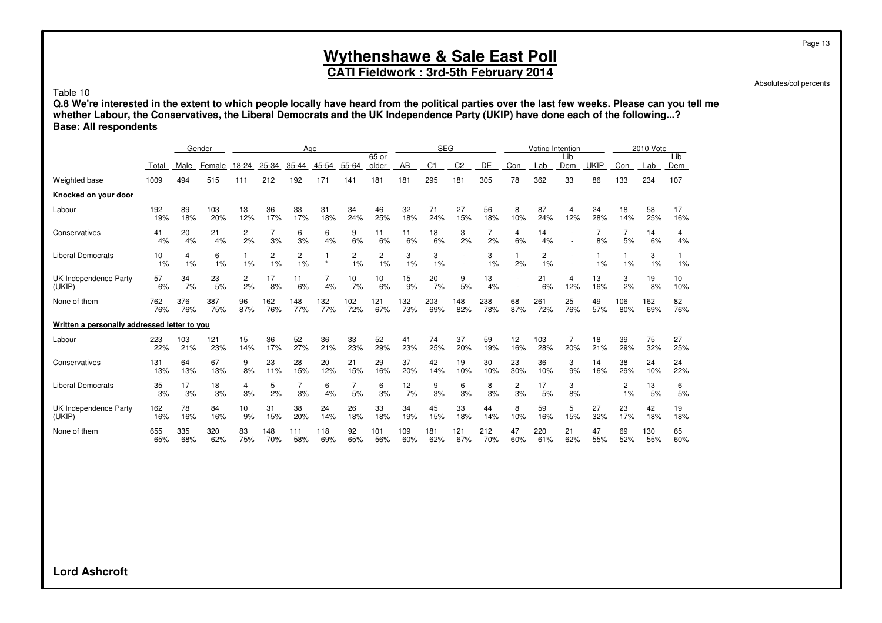### **CATI Fieldwork : 3rd-5th February 2014**

Absolutes/col percents

Table 10

**Q.8 We're interested in the extent to which people locally have heard from the political parties over the last few weeks. Please can you tell me whether Labour, the Conservatives, the Liberal Democrats and the UK Independence Party (UKIP) have done each of the following...? Base: All respondents**

|                                              |            |            | Gender     |           |            | Age        |            |            |                  |            | <b>SEG</b>     |                                                      |            |           | Voting Intention |            |                                                      |                      | 2010 Vote  |            |
|----------------------------------------------|------------|------------|------------|-----------|------------|------------|------------|------------|------------------|------------|----------------|------------------------------------------------------|------------|-----------|------------------|------------|------------------------------------------------------|----------------------|------------|------------|
|                                              | Total      | Male       | Female     | 18-24     | 25-34      | 35-44      | 45-54      | 55-64      | $65$ or<br>older | AB         | C <sub>1</sub> | C <sub>2</sub>                                       | <b>DE</b>  | Con       | Lab              | Lib<br>Dem | <b>UKIP</b>                                          | Con                  | Lab        | Lib<br>Dem |
| Weighted base                                | 1009       | 494        | 515        | 111       | 212        | 192        | 171        | 141        | 181              | 181        | 295            | 181                                                  | 305        | 78        | 362              | 33         | 86                                                   | 133                  | 234        | 107        |
| Knocked on your door                         |            |            |            |           |            |            |            |            |                  |            |                |                                                      |            |           |                  |            |                                                      |                      |            |            |
| Labour                                       | 192<br>19% | 89<br>18%  | 103<br>20% | 13<br>12% | 36<br>17%  | 33<br>17%  | 31<br>18%  | 34<br>24%  | 46<br>25%        | 32<br>18%  | 71<br>24%      | 27<br>15%                                            | 56<br>18%  | 8<br>10%  | 87<br>24%        | 4<br>12%   | 24<br>28%                                            | 18<br>14%            | 58<br>25%  | 17<br>16%  |
| Conservatives                                | 41<br>4%   | 20<br>4%   | 21<br>4%   | 2<br>2%   | 7<br>3%    | 6<br>3%    | 6<br>4%    | 9<br>6%    | 11<br>6%         | 11<br>6%   | 18<br>6%       | 3<br>2%                                              | 7<br>2%    | 4<br>6%   | 14<br>4%         |            | 7<br>8%                                              | 7<br>5%              | 14<br>6%   | 4<br>4%    |
| <b>Liberal Democrats</b>                     | 10<br>1%   | 4<br>1%    | 6<br>1%    | 1%        | 2<br>1%    | 2<br>1%    | $\star$    | 2<br>1%    | 2<br>1%          | 3<br>1%    | 3<br>1%        | $\overline{\phantom{a}}$<br>$\overline{\phantom{a}}$ | 3<br>1%    | 2%        | 2<br>1%          |            | 1%                                                   | 1%                   | 3<br>1%    | 1%         |
| UK Independence Party<br>(UKIP)              | 57<br>6%   | 34<br>7%   | 23<br>5%   | 2<br>2%   | 17<br>8%   | 11<br>6%   | 7<br>4%    | 10<br>7%   | 10<br>6%         | 15<br>9%   | 20<br>7%       | 9<br>5%                                              | 13<br>4%   |           | 21<br>6%         | 4<br>12%   | 13<br>16%                                            | 3<br>2%              | 19<br>8%   | 10<br>10%  |
| None of them                                 | 762<br>76% | 376<br>76% | 387<br>75% | 96<br>87% | 162<br>76% | 148<br>77% | 132<br>77% | 102<br>72% | 121<br>67%       | 132<br>73% | 203<br>69%     | 148<br>82%                                           | 238<br>78% | 68<br>87% | 261<br>72%       | 25<br>76%  | 49<br>57%                                            | 06<br>80%            | 162<br>69% | 82<br>76%  |
| Written a personally addressed letter to you |            |            |            |           |            |            |            |            |                  |            |                |                                                      |            |           |                  |            |                                                      |                      |            |            |
| Labour                                       | 223<br>22% | 103<br>21% | 121<br>23% | 15<br>14% | 36<br>17%  | 52<br>27%  | 36<br>21%  | 33<br>23%  | 52<br>29%        | 41<br>23%  | 74<br>25%      | 37<br>20%                                            | 59<br>19%  | 12<br>16% | 103<br>28%       | 20%        | 18<br>21%                                            | 39<br>29%            | 75<br>32%  | 27<br>25%  |
| Conservatives                                | 131<br>13% | 64<br>13%  | 67<br>13%  | 9<br>8%   | 23<br>11%  | 28<br>15%  | 20<br>12%  | 21<br>15%  | 29<br>16%        | 37<br>20%  | 42<br>14%      | 19<br>10%                                            | 30<br>10%  | 23<br>30% | 36<br>10%        | 3<br>9%    | 14<br>16%                                            | 38<br>29%            | 24<br>10%  | 24<br>22%  |
| <b>Liberal Democrats</b>                     | 35<br>3%   | 17<br>3%   | 18<br>3%   | 4<br>3%   | 5<br>2%    | 3%         | 6<br>4%    | 5%         | 6<br>3%          | 12<br>7%   | 9<br>3%        | 6<br>3%                                              | 8<br>3%    | 2<br>3%   | 17<br>5%         | 3<br>8%    | $\overline{\phantom{a}}$<br>$\overline{\phantom{a}}$ | $\overline{2}$<br>1% | 13<br>5%   | 6<br>5%    |
| UK Independence Party<br>(UKIP)              | 162<br>16% | 78<br>16%  | 84<br>16%  | 10<br>9%  | 31<br>15%  | 38<br>20%  | 24<br>14%  | 26<br>18%  | 33<br>18%        | 34<br>19%  | 45<br>15%      | 33<br>18%                                            | 44<br>14%  | 8<br>10%  | 59<br>16%        | 5<br>15%   | 27<br>32%                                            | 23<br>17%            | 42<br>18%  | 19<br>18%  |
| None of them                                 | 655<br>65% | 335<br>68% | 320<br>62% | 83<br>75% | 148<br>70% | 111<br>58% | 118<br>69% | 92<br>65%  | 101<br>56%       | 109<br>60% | 181<br>62%     | 121<br>67%                                           | 212<br>70% | 47<br>60% | 220<br>61%       | 21<br>62%  | 47<br>55%                                            | 69<br>52%            | 130<br>55% | 65<br>60%  |

**Lord Ashcroft**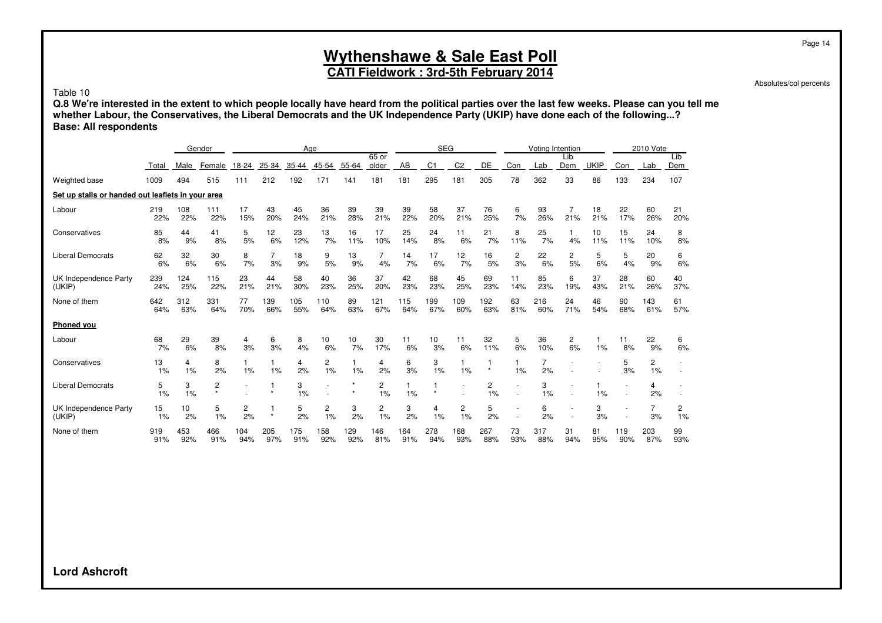### **CATI Fieldwork : 3rd-5th February 2014**

Absolutes/col percents

Table 10

**Q.8 We're interested in the extent to which people locally have heard from the political parties over the last few weeks. Please can you tell me whether Labour, the Conservatives, the Liberal Democrats and the UK Independence Party (UKIP) have done each of the following...? Base: All respondents**

|                                                   |            |            | Gender                                 |            |                         |            | Age        |            |                      |            | <b>SEG</b>     |                               |            |           | Voting Intention |            |             |            | 2010 Vote  |                      |
|---------------------------------------------------|------------|------------|----------------------------------------|------------|-------------------------|------------|------------|------------|----------------------|------------|----------------|-------------------------------|------------|-----------|------------------|------------|-------------|------------|------------|----------------------|
|                                                   | Total      | Male       | Female                                 | 18-24      | 25-34                   | 35-44      | 45-54      | 55-64      | 65 or<br>older       | AB         | C <sub>1</sub> | C <sub>2</sub>                | DE         | Con       | Lab              | Lib<br>Dem | <b>UKIP</b> | Con        | Lab        | Lib<br>Dem           |
| Weighted base                                     | 1009       | 494        | 515                                    | 111        | 212                     | 192        | 171        | 141        | 181                  | 181        | 295            | 181                           | 305        | 78        | 362              | 33         | 86          | 133        | 234        | 107                  |
| Set up stalls or handed out leaflets in your area |            |            |                                        |            |                         |            |            |            |                      |            |                |                               |            |           |                  |            |             |            |            |                      |
| Labour                                            | 219<br>22% | 108<br>22% | 111<br>22%                             | 17<br>15%  | 43<br>20%               | 45<br>24%  | 36<br>21%  | 39<br>28%  | 39<br>21%            | 39<br>22%  | 58<br>20%      | 37<br>21%                     | 76<br>25%  | 6<br>7%   | 93<br>26%        | 21%        | 18<br>21%   | 22<br>17%  | 60<br>26%  | 21<br>20%            |
| Conservatives                                     | 85<br>8%   | 44<br>9%   | 41<br>8%                               | 5<br>5%    | 12<br>6%                | 23<br>12%  | 13<br>7%   | 16<br>11%  | 17<br>10%            | 25<br>14%  | 24<br>8%       | 11<br>6%                      | 21<br>7%   | 8<br>11%  | 25<br>7%         | 4%         | 10<br>11%   | 15<br>11%  | 24<br>10%  | 8<br>8%              |
| <b>Liberal Democrats</b>                          | 62<br>6%   | 32<br>6%   | 30<br>6%                               | 8<br>7%    | $\overline{7}$<br>3%    | 18<br>9%   | 9<br>5%    | 13<br>9%   | 4%                   | 14<br>7%   | 17<br>6%       | 12<br>7%                      | 16<br>5%   | 2<br>3%   | 22<br>6%         | 2<br>5%    | 5<br>6%     | 5<br>4%    | 20<br>9%   | 6<br>6%              |
| UK Independence Party<br>(UKIP)                   | 239<br>24% | 124<br>25% | 115<br>22%                             | 23<br>21%  | 44<br>21%               | 58<br>30%  | 40<br>23%  | 36<br>25%  | 37<br>20%            | 42<br>23%  | 68<br>23%      | 45<br>25%                     | 69<br>23%  | 11<br>14% | 85<br>23%        | 6<br>19%   | 37<br>43%   | 28<br>21%  | 60<br>26%  | 40<br>37%            |
| None of them                                      | 642<br>64% | 312<br>63% | 331<br>64%                             | 77<br>70%  | 139<br>66%              | 105<br>55% | 110<br>64% | 89<br>63%  | 121<br>67%           | 115<br>64% | 199<br>67%     | 109<br>60%                    | 192<br>63% | 63<br>81% | 216<br>60%       | 24<br>71%  | 46<br>54%   | 90<br>68%  | 143<br>61% | 61<br>57%            |
| <b>Phoned you</b>                                 |            |            |                                        |            |                         |            |            |            |                      |            |                |                               |            |           |                  |            |             |            |            |                      |
| Labour                                            | 68<br>7%   | 29<br>6%   | 39<br>8%                               | 4<br>3%    | 6<br>3%                 | 8<br>4%    | 10<br>6%   | 10<br>7%   | 30<br>17%            | 11<br>6%   | 10<br>3%       | 11<br>6%                      | 32<br>11%  | 5<br>6%   | 36<br>10%        | 2<br>6%    | 1%          | 11<br>8%   | 22<br>9%   | 6<br>6%              |
| Conservatives                                     | 13<br>1%   | 4<br>1%    | 8<br>2%                                | 1%         | $\mathbf{1}$<br>1%      | 4<br>2%    | 2<br>1%    | 1%         | 4<br>2%              | 6<br>3%    | 3<br>1%        | 1<br>1%                       | $\star$    | 1%        | 7<br>2%          |            |             | 5<br>3%    | 2<br>1%    |                      |
| <b>Liberal Democrats</b>                          | 5<br>1%    | 3<br>1%    | $\overline{c}$<br>$\ddot{\phantom{0}}$ |            |                         | 3<br>1%    |            |            | 2<br>1%              | 1%         |                |                               | 2<br>1%    | ٠         | 3<br>1%          |            | 1%          |            | 4<br>2%    |                      |
| UK Independence Party<br>(UKIP)                   | 15<br>1%   | 10<br>2%   | 5<br>1%                                | 2<br>2%    | $\mathbf{1}$<br>$\star$ | 5<br>2%    | 2<br>1%    | 3<br>2%    | $\overline{c}$<br>1% | 3<br>2%    | 4<br>1%        | $\overline{\mathbf{c}}$<br>1% | 5<br>2%    |           | 6<br>2%          |            | 3<br>3%     |            | 7<br>3%    | $\overline{c}$<br>1% |
| None of them                                      | 919<br>91% | 453<br>92% | 466<br>91%                             | 104<br>94% | 205<br>97%              | 175<br>91% | 158<br>92% | 129<br>92% | 146<br>81%           | 164<br>91% | 278<br>94%     | 168<br>93%                    | 267<br>88% | 73<br>93% | 317<br>88%       | 31<br>94%  | 81<br>95%   | 119<br>90% | 203<br>87% | 99<br>93%            |

**Lord Ashcroft**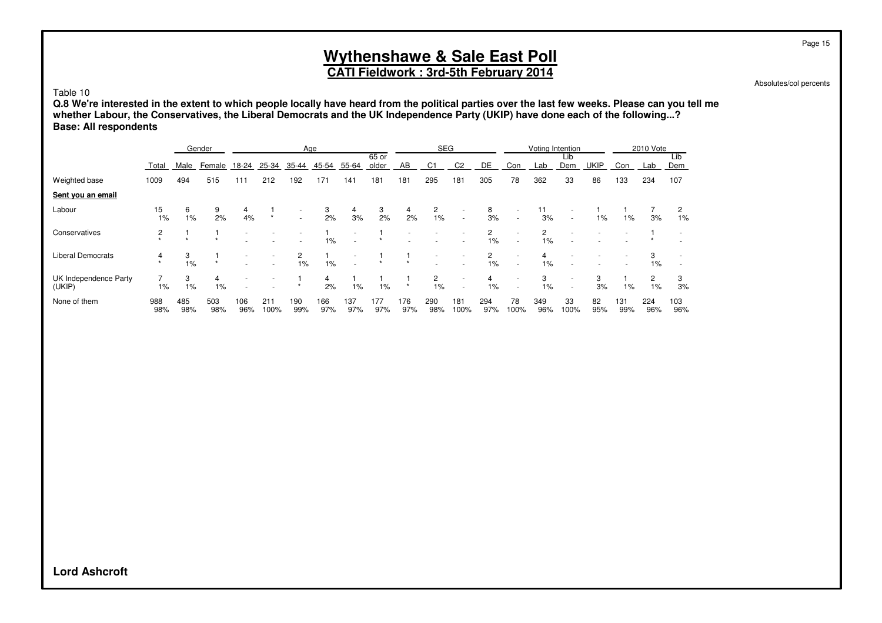## **CATI Fieldwork : 3rd-5th February 2014**

Absolutes/col percents

Page 15

Table 10

**Q.8 We're interested in the extent to which people locally have heard from the political parties over the last few weeks. Please can you tell me whether Labour, the Conservatives, the Liberal Democrats and the UK Independence Party (UKIP) have done each of the following...? Base: All respondents**

|                                 | Gender     |                |            | Age        |             |                                                      |            |            |                | <b>SEG</b> |            |                                    |            | Voting Intention                                     |            |                                                      |           | 2010 Vote  |            |            |
|---------------------------------|------------|----------------|------------|------------|-------------|------------------------------------------------------|------------|------------|----------------|------------|------------|------------------------------------|------------|------------------------------------------------------|------------|------------------------------------------------------|-----------|------------|------------|------------|
|                                 | Total      | Male           | Female     | 18-24      | 25-34       | 35-44                                                | 45-54      | 55-64      | 65 or<br>older | AB         | C1         | C <sub>2</sub>                     | DE         | Con                                                  | Lab        | Lib<br>Dem                                           | UKIP      | Con        | Lab        | Lib<br>Dem |
| Weighted base                   | 1009       | 494            | 515        | 111        | 212         | 192                                                  | 171        | 141        | 181            | 181        | 295        | 181                                | 305        | 78                                                   | 362        | 33                                                   | 86        | 133        | 234        | 107        |
| Sent you an email               |            |                |            |            |             |                                                      |            |            |                |            |            |                                    |            |                                                      |            |                                                      |           |            |            |            |
| Labour                          | 15<br>1%   | 6<br>$1\%$     | 9<br>2%    | 4<br>4%    | $\star$     | $\overline{\phantom{a}}$<br>$\overline{\phantom{a}}$ | 3<br>2%    | 4<br>3%    | 3<br>2%        | 4<br>2%    | 2<br>$1\%$ | $\overline{\phantom{0}}$<br>$\sim$ | 8<br>3%    | $\overline{\phantom{a}}$<br>$\overline{\phantom{a}}$ | 11<br>3%   | $\overline{\phantom{0}}$                             | 1%        | 1%         | 3%         | 2<br>1%    |
| Conservatives                   |            | $\overline{ }$ | $\ddot{}$  |            |             |                                                      | 1%         |            |                |            |            |                                    | 2<br>$1\%$ | ٠                                                    | 2<br>$1\%$ |                                                      |           |            |            |            |
| <b>Liberal Democrats</b>        | 4          | 3<br>1%        | $\star$    |            |             | 1%                                                   | $1\%$      |            |                |            |            | $\overline{\phantom{a}}$           | 2<br>$1\%$ | $\overline{\phantom{a}}$                             | 1%         |                                                      |           |            | 1%         |            |
| UK Independence Party<br>(UKIP) | 1%         | 3<br>1%        | 4<br>$1\%$ |            |             |                                                      | 4<br>2%    | $1\%$      | 1%             | $\star$    | 2<br>1%    | $\overline{\phantom{a}}$<br>$\sim$ | 4<br>1%    | $\overline{\phantom{a}}$                             | 3<br>1%    | $\overline{\phantom{a}}$<br>$\overline{\phantom{0}}$ | 3<br>3%   | 1%         | 2<br>1%    | 3<br>3%    |
| None of them                    | 988<br>98% | 485<br>98%     | 503<br>98% | 106<br>96% | 211<br>100% | 190<br>99%                                           | 166<br>97% | 137<br>97% | 177<br>97%     | 176<br>97% | 290<br>98% | 181<br>100%                        | 294<br>97% | 78<br>100%                                           | 349<br>96% | 33<br>100%                                           | 82<br>95% | 131<br>99% | 224<br>96% | 103<br>96% |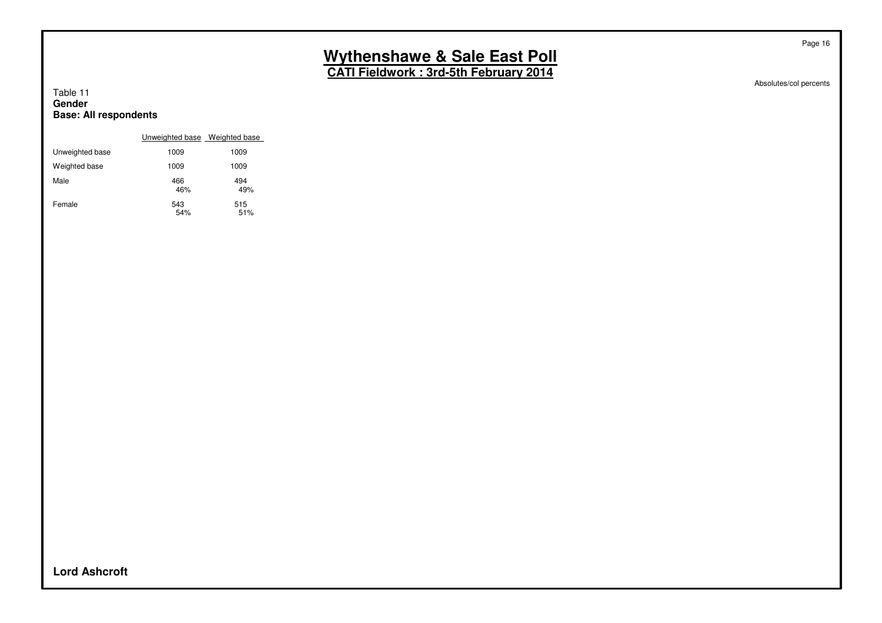**CATI Fieldwork : 3rd-5th February 2014**

Absolutes/col percents

Page 16

#### Table 11 **Gender Base: All respondents**

|                 | Unweighted base Weighted base |            |
|-----------------|-------------------------------|------------|
| Unweighted base | 1009                          | 1009       |
| Weighted base   | 1009                          | 1009       |
| Male            | 466<br>46%                    | 494<br>49% |
| Female          | 543<br>54%                    | 515<br>51% |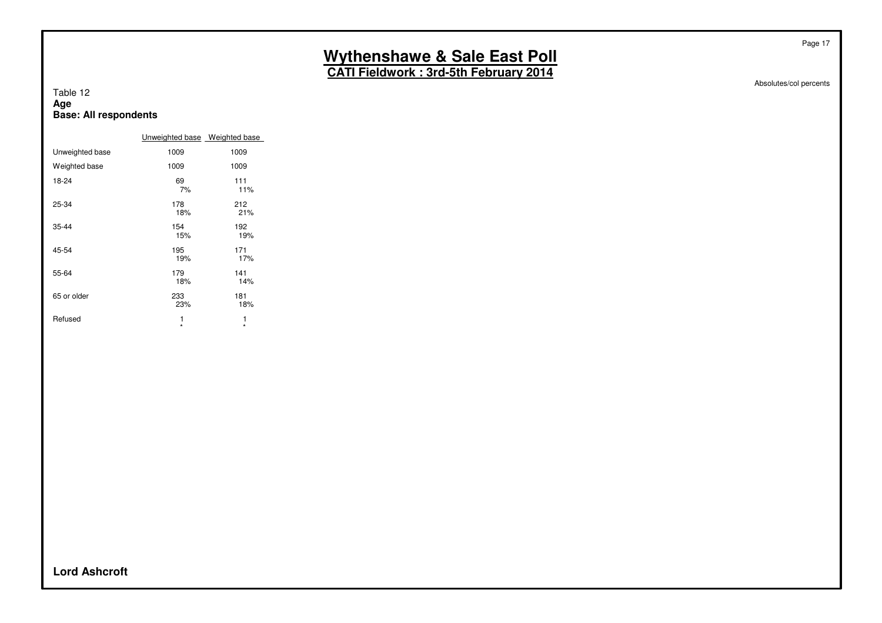**CATI Fieldwork : 3rd-5th February 2014**

Absolutes/col percents

Page 17

#### Table 12 **Age Base: All respondents**

|                 | Unweighted base Weighted base |            |
|-----------------|-------------------------------|------------|
| Unweighted base | 1009                          | 1009       |
| Weighted base   | 1009                          | 1009       |
| 18-24           | 69<br>7%                      | 111<br>11% |
| 25-34           | 178<br>18%                    | 212<br>21% |
| $35 - 44$       | 154<br>15%                    | 192<br>19% |
| 45-54           | 195<br>19%                    | 171<br>17% |
| 55-64           | 179<br>18%                    | 141<br>14% |
| 65 or older     | 233<br>23%                    | 181<br>18% |
| Refused         | 1<br>÷                        | 1<br>÷     |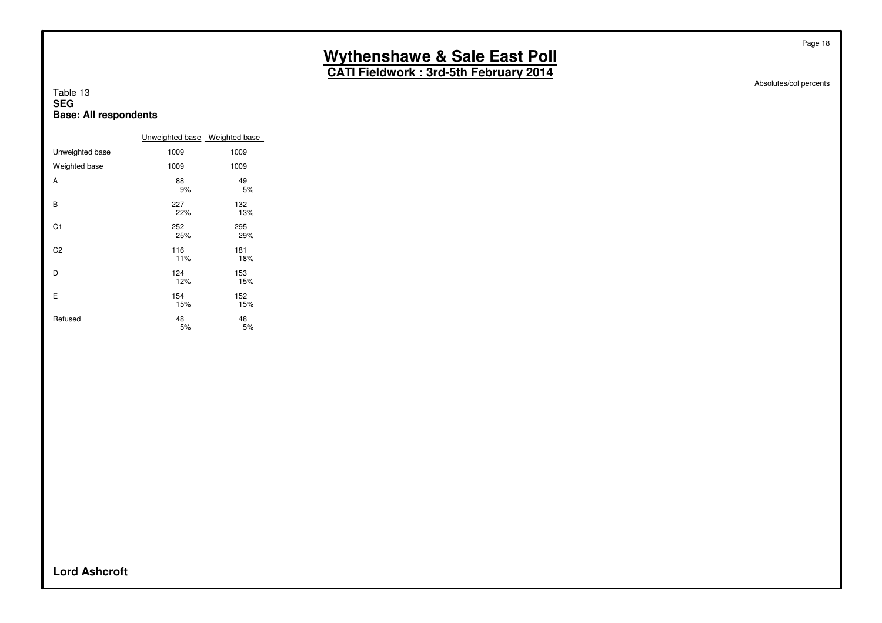**CATI Fieldwork : 3rd-5th February 2014**

Absolutes/col percents

Page 18

#### Table 13 **SEG Base: All respondents**

|                 | Unweighted base Weighted base |            |
|-----------------|-------------------------------|------------|
| Unweighted base | 1009                          | 1009       |
| Weighted base   | 1009                          | 1009       |
| A               | 88<br>9%                      | 49<br>5%   |
| В               | 227<br>22%                    | 132<br>13% |
| C <sub>1</sub>  | 252<br>25%                    | 295<br>29% |
| C <sub>2</sub>  | 116<br>11%                    | 181<br>18% |
| D               | 124<br>12%                    | 153<br>15% |
| Е               | 154<br>15%                    | 152<br>15% |
| Refused         | 48<br>5%                      | 48<br>5%   |